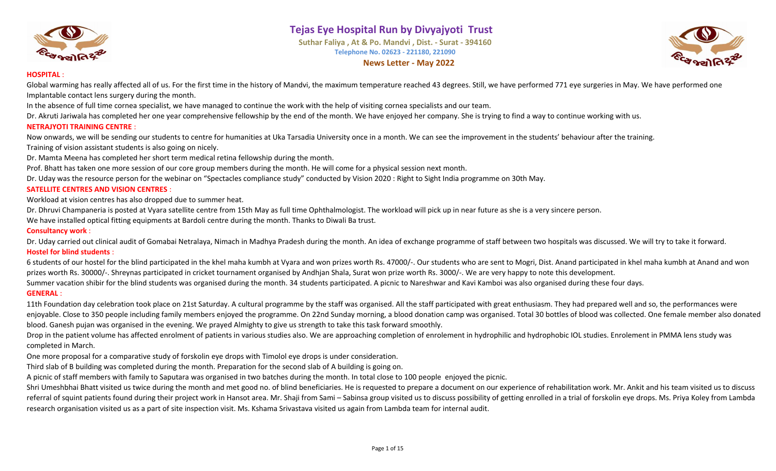

**Suthar Faliya , At & Po. Mandvi , Dist. - Surat - 394160 Telephone No. 02623 - 221180, 221090 News Letter - May 2022**



#### **HOSPITAL** :

Global warming has really affected all of us. For the first time in the history of Mandvi, the maximum temperature reached 43 degrees. Still, we have performed 771 eye surgeries in May. We have performed one Implantable contact lens surgery during the month.

In the absence of full time cornea specialist, we have managed to continue the work with the help of visiting cornea specialists and our team.

Dr. Akruti Jariwala has completed her one year comprehensive fellowship by the end of the month. We have enjoyed her company. She is trying to find a way to continue working with us.

#### **NETRAJYOTI TRAINING CENTRE** :

Now onwards, we will be sending our students to centre for humanities at Uka Tarsadia University once in a month. We can see the improvement in the students' behaviour after the training. Training of vision assistant students is also going on nicely.

Dr. Mamta Meena has completed her short term medical retina fellowship during the month.

Prof. Bhatt has taken one more session of our core group members during the month. He will come for a physical session next month.

Dr. Uday was the resource person for the webinar on "Spectacles compliance study" conducted by Vision 2020 : Right to Sight India programme on 30th May.

#### **SATELLITE CENTRES AND VISION CENTRES** :

Workload at vision centres has also dropped due to summer heat.

Dr. Dhruvi Champaneria is posted at Vyara satellite centre from 15th May as full time Ophthalmologist. The workload will pick up in near future as she is a very sincere person.

We have installed optical fitting equipments at Bardoli centre during the month. Thanks to Diwali Ba trust.

#### **Consultancy work** :

Dr. Uday carried out clinical audit of Gomabai Netralaya, Nimach in Madhya Pradesh during the month. An idea of exchange programme of staff between two hospitals was discussed. We will try to take it forward. **Hostel for blind students** :

6 students of our hostel for the blind participated in the khel maha kumbh at Vyara and won prizes worth Rs. 47000/-. Our students who are sent to Mogri, Dist. Anand participated in khel maha kumbh at Anand and won prizes worth Rs. 30000/-. Shreynas participated in cricket tournament organised by Andhjan Shala, Surat won prize worth Rs. 3000/-. We are very happy to note this development.

Summer vacation shibir for the blind students was organised during the month. 34 students participated. A picnic to Nareshwar and Kavi Kamboi was also organised during these four days.

#### **GENERAL** :

11th Foundation day celebration took place on 21st Saturday. A cultural programme by the staff was organised. All the staff participated with great enthusiasm. They had prepared well and so, the performances were enjoyable. Close to 350 people including family members enjoyed the programme. On 22nd Sunday morning, a blood donation camp was organised. Total 30 bottles of blood was collected. One female member also donated blood. Ganesh pujan was organised in the evening. We prayed Almighty to give us strength to take this task forward smoothly.

Drop in the patient volume has affected enrolment of patients in various studies also. We are approaching completion of enrolement in hydrophilic and hydrophobic IOL studies. Enrolement in PMMA lens study was completed in March.

One more proposal for a comparative study of forskolin eye drops with Timolol eye drops is under consideration.

Third slab of B building was completed during the month. Preparation for the second slab of A building is going on.

A picnic of staff members with family to Saputara was organised in two batches during the month. In total close to 100 people enjoyed the picnic.

Shri Umeshbhai Bhatt visited us twice during the month and met good no. of blind beneficiaries. He is requested to prepare a document on our experience of rehabilitation work. Mr. Ankit and his team visited us to discuss referral of squint patients found during their project work in Hansot area. Mr. Shaji from Sami – Sabinsa group visited us to discuss possibility of getting enrolled in a trial of forskolin eye drops. Ms. Priya Koley from research organisation visited us as a part of site inspection visit. Ms. Kshama Srivastava visited us again from Lambda team for internal audit.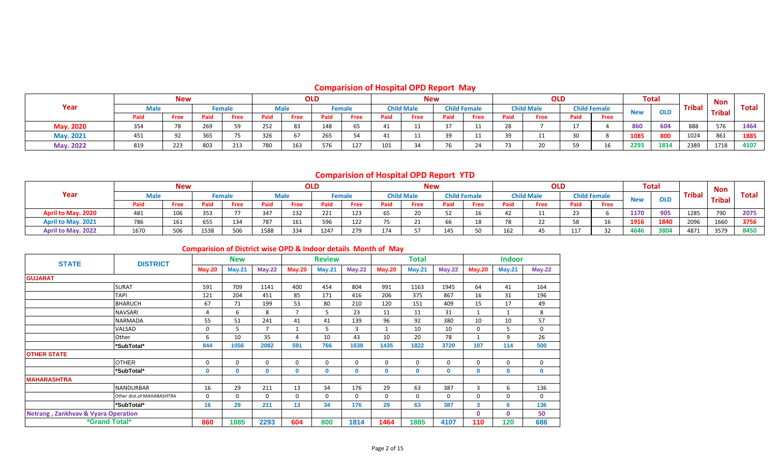## **Comparision of Hospital OPD Report May**

|                  |      | <b>New</b> |      |               |      |      | <b>OLD</b> |               |      | <b>New</b>        |        |                     |        | <b>OLD</b>        |      |                     |            | <b>Total</b> |               | <b>Non</b>    |       |
|------------------|------|------------|------|---------------|------|------|------------|---------------|------|-------------------|--------|---------------------|--------|-------------------|------|---------------------|------------|--------------|---------------|---------------|-------|
| Year             |      |            |      | <b>Female</b> |      | Male |            | <b>Female</b> |      | <b>Child Male</b> |        | <b>Child Female</b> |        | <b>Child Male</b> |      | <b>Child Female</b> | <b>New</b> | <b>OLD</b>   | <b>Tribal</b> | <b>Tribal</b> | Total |
|                  | Paid | Free       | Paid | Free          | Paid | Free | Paid       | Free          | Paid | Free              | Paid   | Free                | Paid   | Free              | Paid | Free                |            |              |               |               |       |
| <b>May. 2020</b> | 354  |            | 269  |               | 252  | 83   | 148        | כס            | -41  |                   |        |                     | $\sim$ |                   |      |                     | 860        | 604          | 888           | 576           | 1464  |
| May. 2021        | 451  |            | 365  |               | 326  |      | 265        |               | 41   |                   | - -    |                     |        |                   |      |                     | 1085       | 800          | 1024          | 861           | 1885  |
| May. 2022        | 819  | 223        | 803  | 213           | 780  | 163  | 576        | 127           | 101  | $\sim$            | $\sim$ |                     |        | 20                | 59   | 1 <sup>c</sup>      | 2293       | 1814         | 2389          | 1718          | 4107  |

### **Comparision of Hospital OPD Report YTD**

|                    |      | <b>New</b> |      |               |      |                   | <b>OLD</b> |        |      | <b>New</b>        |          |                     |                 | <b>OLD</b>        |      |                     |            | <b>Total</b> |               | Non           |              |
|--------------------|------|------------|------|---------------|------|-------------------|------------|--------|------|-------------------|----------|---------------------|-----------------|-------------------|------|---------------------|------------|--------------|---------------|---------------|--------------|
| Year               |      |            |      | <b>Female</b> |      | <b>Male</b>       |            | Female |      | <b>Child Male</b> |          | <b>Child Female</b> |                 | <b>Child Male</b> |      | <b>Child Female</b> | <b>Now</b> | <b>OLD</b>   | <b>Tribal</b> | <b>Tribal</b> | <b>Total</b> |
|                    | Paid | Free       | Paid | Free          | Paid | Free              | Paid       | Free   | Paid | Free              | Paid     | Free                | Paid            | Free              | Paid | Free                |            |              |               |               |              |
| April to May. 2020 | 481  | ⊥∪∪        | 353  |               | 347  | 122<br><b>***</b> | 221        | 123    | 65   |                   |          |                     |                 |                   |      |                     | 1170       | 905          | 1285          | 790           | 2075         |
| April to May. 2021 | 786  | 161        | 655  | 134           | 787  | 161<br>TOT        | 596        | 122    | ر ,  |                   | <b>b</b> | 18                  |                 |                   |      |                     | 1916       | 1840         | 2096          | 1660          | 3756         |
| April to May. 2022 | 1670 | 506        | 1538 | 506           | 1588 | 334               | 1247       | 279    | 174  |                   | 145      |                     | 10 <sup>2</sup> |                   | 117  |                     | 4646       | 3804         | 4871          | 3579          | 8450         |

### **Comparision of District wise OPD & Indoor details Month of May**

| <b>STATE</b>                                   | <b>DISTRICT</b>           |               | <b>New</b>    |                |                | <b>Review</b> |               |               | <b>Total</b>  |              |               | <b>Indoor</b> |             |
|------------------------------------------------|---------------------------|---------------|---------------|----------------|----------------|---------------|---------------|---------------|---------------|--------------|---------------|---------------|-------------|
|                                                |                           | <b>May.20</b> | <b>May.21</b> | May.22         | <b>May.20</b>  | <b>May.21</b> | <b>May.22</b> | <b>May.20</b> | <b>May.21</b> | May.22       | <b>May.20</b> | <b>May.21</b> | May.22      |
| <b>GUJARAT</b>                                 |                           |               |               |                |                |               |               |               |               |              |               |               |             |
|                                                | <b>SURAT</b>              | 591           | 709           | 1141           | 400            | 454           | 804           | 991           | 1163          | 1945         | 64            | 41            | 164         |
|                                                | <b>TAPI</b>               | 121           | 204           | 451            | 85             | 171           | 416           | 206           | 375           | 867          | 16            | 31            | 196         |
|                                                | <b>BHARUCH</b>            | 67            | 71            | 199            | 53             | 80            | 210           | 120           | 151           | 409          | 15            | 17            | 49          |
|                                                | <b>NAVSARI</b>            | 4             | 6             | 8              | $\overline{7}$ | 5             | 23            | 11            | 11            | 31           | $\mathbf{1}$  |               | 8           |
|                                                | <b>NARMADA</b>            | 55            | 51            | 241            | 41             | 41            | 139           | 96            | 92            | 380          | 10            | 10            | 57          |
|                                                | VALSAD                    | 0             | 5.            | $\overline{7}$ | $\mathbf{1}$   | 5             | 3             |               | 10            | 10           | $\Omega$      | 5             | $\mathbf 0$ |
|                                                | Other                     | 6             | 10            | 35             | 4              | 10            | 43            | 10            | 20            | 78           | $\mathbf{1}$  | 9             | 26          |
|                                                | *SubTotal*                | 844           | 1056          | 2082           | 591            | 766           | 1638          | 1435          | 1822          | 3720         | 107           | 114           | 500         |
| <b>OTHER STATE</b>                             |                           |               |               |                |                |               |               |               |               |              |               |               |             |
|                                                | <b>OTHER</b>              | $\Omega$      | $\Omega$      | 0              | $\mathbf{0}$   | $\mathbf 0$   | $\mathbf 0$   | $\Omega$      | $\Omega$      | $\Omega$     | $\Omega$      | $\Omega$      | $\mathbf 0$ |
|                                                | *SubTotal*                | $\mathbf 0$   | 0             | 0              | 0              | $\mathbf 0$   | 0             | $\mathbf{0}$  | $\mathbf{0}$  | $\mathbf{0}$ | $\mathbf{0}$  | $\mathbf 0$   | $\mathbf 0$ |
| <b>MAHARASHTRA</b>                             |                           |               |               |                |                |               |               |               |               |              |               |               |             |
|                                                | <b>NANDURBAR</b>          | 16            | 29            | 211            | 13             | 34            | 176           | 29            | 63            | 387          | 3             | 6             | 136         |
|                                                | Other dist.of MAHARASHTRA | $\mathbf 0$   | 0             | 0              | 0              | 0             | $\mathbf 0$   | $\Omega$      | 0             | $\mathbf{0}$ | $\mathbf 0$   | 0             | 0           |
|                                                | *SubTotal*                | 16            | 29            | 211            | 13             | 34            | 176           | 29            | 63            | 387          | 3             | 6             | 136         |
| <b>Netrang, Zankhvav &amp; Vyara Operation</b> |                           |               |               |                |                |               |               |               |               |              | $\mathbf 0$   | $\Omega$      | 50          |
| <i><b>*Grand Total*</b></i>                    |                           | 860           | 1085          | 2293           | 604            | 800           | 1814          | 1464          | 1885          | 4107         | 110           | 120           | 686         |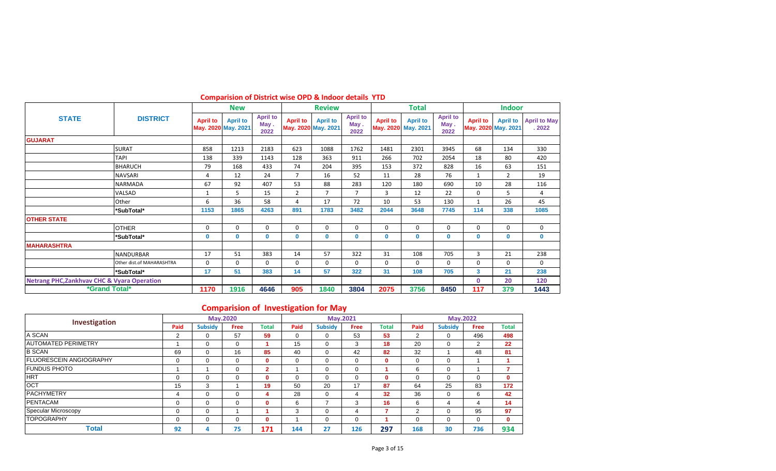|                                                        |                             |                 | <b>New</b>                             |                                 |                 | <b>Review</b>                          |                                 |                 | <b>Total</b>                           |                                 |                                        | <b>Indoor</b>   |                              |
|--------------------------------------------------------|-----------------------------|-----------------|----------------------------------------|---------------------------------|-----------------|----------------------------------------|---------------------------------|-----------------|----------------------------------------|---------------------------------|----------------------------------------|-----------------|------------------------------|
| <b>STATE</b>                                           | <b>DISTRICT</b>             | <b>April to</b> | <b>April to</b><br>May. 2020 May. 2021 | <b>April to</b><br>May.<br>2022 | <b>April to</b> | <b>April to</b><br>May. 2020 May. 2021 | <b>April to</b><br>May.<br>2022 | <b>April to</b> | <b>April to</b><br>May. 2020 May. 2021 | <b>April to</b><br>May.<br>2022 | <b>April to</b><br>May. 2020 May. 2021 | <b>April to</b> | <b>April to May</b><br>.2022 |
| <b>GUJARAT</b>                                         |                             |                 |                                        |                                 |                 |                                        |                                 |                 |                                        |                                 |                                        |                 |                              |
|                                                        | <b>SURAT</b>                | 858             | 1213                                   | 2183                            | 623             | 1088                                   | 1762                            | 1481            | 2301                                   | 3945                            | 68                                     | 134             | 330                          |
|                                                        | TAPI                        | 138             | 339                                    | 1143                            | 128             | 363                                    | 911                             | 266             | 702                                    | 2054                            | 18                                     | 80              | 420                          |
|                                                        | <b>BHARUCH</b>              | 79              | 168                                    | 433                             | 74              | 204                                    | 395                             | 153             | 372                                    | 828                             | 16                                     | 63              | 151                          |
|                                                        | <b>NAVSARI</b>              | 4               | 12                                     | 24                              | $\overline{7}$  | 16                                     | 52                              | 11              | 28                                     | 76                              | $\mathbf{1}$                           | $\overline{2}$  | 19                           |
|                                                        | <b>NARMADA</b>              | 67              | 92                                     | 407                             | 53              | 88                                     | 283                             | 120             | 180                                    | 690                             | 10                                     | 28              | 116                          |
|                                                        | VALSAD                      |                 | 5                                      | 15                              | $\overline{2}$  | $\overline{7}$                         | $\overline{7}$                  | 3               | 12                                     | 22                              | 0                                      | 5               | 4                            |
|                                                        | Other                       | 6               | 36                                     | 58                              | 4               | 17                                     | 72                              | 10              | 53                                     | 130                             | $\mathbf{1}$                           | 26              | 45                           |
|                                                        | *SubTotal*                  | 1153            | 1865                                   | 4263                            | 891             | 1783                                   | 3482                            | 2044            | 3648                                   | 7745                            | 114                                    | 338             | 1085                         |
| <b>OTHER STATE</b>                                     |                             |                 |                                        |                                 |                 |                                        |                                 |                 |                                        |                                 |                                        |                 |                              |
|                                                        | <b>OTHER</b>                | $\mathbf 0$     | $\mathbf 0$                            | 0                               | 0               | 0                                      | 0                               | 0               | $\Omega$                               | $\mathbf{0}$                    | $\Omega$                               | 0               | $\mathbf 0$                  |
|                                                        | *SubTotal*                  | 0               | $\mathbf{0}$                           | 0                               | 0               | $\mathbf 0$                            | $\mathbf{0}$                    | $\mathbf{0}$    | $\Omega$                               | $\mathbf 0$                     | $\mathbf{0}$                           | 0               | $\mathbf 0$                  |
| <b>MAHARASHTRA</b>                                     |                             |                 |                                        |                                 |                 |                                        |                                 |                 |                                        |                                 |                                        |                 |                              |
|                                                        | <b>NANDURBAR</b>            | 17              | 51                                     | 383                             | 14              | 57                                     | 322                             | 31              | 108                                    | 705                             | 3                                      | 21              | 238                          |
|                                                        | Other dist.of MAHARASHTRA   | $\mathbf 0$     | $\Omega$                               | 0                               | 0               | $\mathbf 0$                            | $\mathbf 0$                     | 0               | 0                                      | 0                               | 0                                      | 0               | $\mathbf 0$                  |
|                                                        | *SubTotal*                  | 17              | 51                                     | 383                             | 14              | 57                                     | 322                             | 31              | 108                                    | 705                             | $\mathbf{3}$                           | 21              | 238                          |
| <b>Netrang PHC, Zankhvav CHC &amp; Vyara Operation</b> |                             |                 |                                        |                                 |                 |                                        |                                 |                 |                                        |                                 | $\mathbf{0}$                           | 20              | 120                          |
|                                                        | <i><b>*Grand Total*</b></i> | 1170            | 1916                                   | 4646                            | 905             | 1840                                   | 3804                            | 2075            | 3756                                   | 8450                            | 117                                    | 379             | 1443                         |

### **Comparision of District wise OPD & Indoor details YTD**

÷.

## **Comparision of Investigation for May**

| Investigation                   |          |                | <b>May.2020</b> |                |      |                | May.2021    |              |          | <b>May.2022</b> |                |              |
|---------------------------------|----------|----------------|-----------------|----------------|------|----------------|-------------|--------------|----------|-----------------|----------------|--------------|
|                                 | Paid     | <b>Subsidy</b> | Free            | Total          | Paid | <b>Subsidy</b> | <b>Free</b> | <b>Total</b> | Paid     | <b>Subsidy</b>  | <b>Free</b>    | <b>Total</b> |
| A SCAN                          | 2        | $\Omega$       | 57              | 59             | 0    | $\Omega$       | 53          | 53           | 2        | 0               | 496            | 498          |
| <b>AUTOMATED PERIMETRY</b>      |          | $\Omega$       | 0               |                | 15   | 0              | 3           | 18           | 20       | $\mathbf 0$     | $\overline{2}$ | 22           |
| <b>B SCAN</b>                   | 69       | 0              | 16              | 85             | 40   | $\Omega$       | 42          | 82           | 32       |                 | 48             | 81           |
| <b>IFLUORESCEIN ANGIOGRAPHY</b> | 0        | $\Omega$       | 0               | 0              | 0    | 0              | $\Omega$    | $\mathbf{0}$ | 0        | 0               |                |              |
| <b>FUNDUS PHOTO</b>             |          |                | $\Omega$        | $\overline{2}$ |      | 0              | 0           |              | 6        | 0               |                | ۰,           |
| <b>HRT</b>                      | $\Omega$ | $\Omega$       | $\Omega$        | $\bf{0}$       | 0    | $\Omega$       | 0           | $\bf{0}$     | 0        | $\Omega$        | $\Omega$       | $\mathbf{0}$ |
| <b>OCT</b>                      | 15       | 3              |                 | 19             | 50   | 20             | 17          | 87           | 64       | 25              | 83             | 172          |
| <b>PACHYMETRY</b>               | 4        | $\Omega$       | 0               | 4              | 28   | $\Omega$       |             | 32           | 36       | 0               | 6              | 42           |
| <b>PENTACAM</b>                 | $\Omega$ | $\Omega$       | 0               | 0              | 6    | -              | 3           | 16           | 6        | -4              | 4              | 14           |
| Specular Microscopy             | $\Omega$ | $\Omega$       |                 |                | 3    | $\Omega$       | 4           |              | 2        | 0               | 95             | 97           |
| <b>TOPOGRAPHY</b>               | $\Omega$ | $\Omega$       | $\Omega$        | $\bf{0}$       |      | $\Omega$       | 0           |              | $\Omega$ | $\Omega$        | 0              | $\mathbf{0}$ |
| <b>Total</b>                    | 92       | 4              | 75              | 171            | 144  | 27             | 126         | 297          | 168      | 30              | 736            | 934          |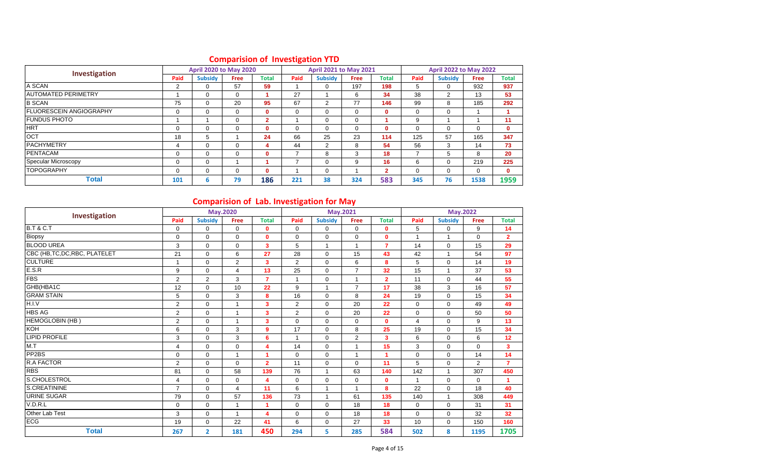|                                 |          | <b>April 2020 to May 2020</b> |             |                |      | <b>April 2021 to May 2021</b> |             |                |          | <b>April 2022 to May 2022</b> |             |              |
|---------------------------------|----------|-------------------------------|-------------|----------------|------|-------------------------------|-------------|----------------|----------|-------------------------------|-------------|--------------|
| Investigation                   | Paid     | <b>Subsidy</b>                | <b>Free</b> | Total          | Paid | <b>Subsidy</b>                | <b>Free</b> | Total          | Paid     | <b>Subsidy</b>                | <b>Free</b> | Total        |
| A SCAN                          | 2        | $\Omega$                      | 57          | 59             |      | $\Omega$                      | 197         | 198            | 5        | 0                             | 932         | 937          |
| <b>JAUTOMATED PERIMETRY</b>     |          | 0                             | 0           |                | 27   |                               | 6           | 34             | 38       | $\overline{2}$                | 13          | 53           |
| <b>B SCAN</b>                   | 75       | $\Omega$                      | 20          | 95             | 67   | 2                             | 77          | 146            | 99       | 8                             | 185         | 292          |
| <b>IFLUORESCEIN ANGIOGRAPHY</b> | 0        | $\Omega$                      | 0           | $\mathbf 0$    | 0    | $\Omega$                      | $\Omega$    | $\mathbf{0}$   | 0        | $\mathbf 0$                   |             |              |
| <b>FUNDUS PHOTO</b>             |          |                               | 0           | $\overline{2}$ |      | 0                             | $\Omega$    |                | 9        |                               |             | 11           |
| <b>HRT</b>                      | $\Omega$ | $\Omega$                      | 0           | $\bf{0}$       | 0    | $\Omega$                      | 0           | $\mathbf{0}$   | $\Omega$ | $\Omega$                      | 0           | $\mathbf{0}$ |
| <b>OCT</b>                      | 18       | 5                             |             | 24             | 66   | 25                            | 23          | 114            | 125      | 57                            | 165         | 347          |
| <b>PACHYMETRY</b>               | 4        | $\Omega$                      | $\Omega$    | 4              | 44   | 2                             | 8           | 54             | 56       | 3                             | 14          | 73           |
| <b>PENTACAM</b>                 | $\Omega$ | $\Omega$                      | 0           | 0              |      | 8                             | 3           | 18             |          | 5                             | 8           | 20           |
| Specular Microscopy             | 0        | $\Omega$                      |             |                |      | $\Omega$                      | 9           | 16             | 6        | 0                             | 219         | 225          |
| <b>TOPOGRAPHY</b>               | 0        | $\Omega$                      | 0           | 0              |      | $\Omega$                      |             | $\overline{2}$ | 0        | $\mathbf 0$                   | 0           | $\mathbf{0}$ |
| <b>Total</b>                    | 101      | 6                             | 79          | 186            | 221  | 38                            | 324         | 583            | 345      | 76                            | 1538        | 1959         |

### **Comparision of Investigation YTD**

### **Comparision of Lab. Investigation for May**

| Investigation                  |                |                | May.2020       |                  |                      |                         | May.2021       |                |                | <b>May.2022</b> |                |                |
|--------------------------------|----------------|----------------|----------------|------------------|----------------------|-------------------------|----------------|----------------|----------------|-----------------|----------------|----------------|
|                                | Paid           | <b>Subsidy</b> | <b>Free</b>    | <b>Total</b>     | Paid                 | <b>Subsidy</b>          | <b>Free</b>    | <b>Total</b>   | Paid           | <b>Subsidy</b>  | <b>Free</b>    | <b>Total</b>   |
| <b>B.T &amp; C.T</b>           | $\mathbf 0$    | $\mathbf 0$    | 0              | $\mathbf 0$      | 0                    | $\mathbf 0$             | 0              | 0              | 5              | 0               | 9              | 14             |
| Biopsy                         | $\mathbf 0$    | $\Omega$       | $\mathbf 0$    | $\mathbf 0$      | $\Omega$             | $\Omega$                | $\mathbf 0$    | $\mathbf{0}$   | 1              | $\mathbf{1}$    | 0              | $\overline{2}$ |
| <b>BLOOD UREA</b>              | 3              | $\mathbf 0$    | 0              | 3                | 5                    | $\overline{1}$          | $\overline{1}$ | $\overline{7}$ | 14             | 0               | 15             | 29             |
| CBC (HB, TC, DC, RBC, PLATELET | 21             | $\mathbf 0$    | 6              | 27               | 28                   | $\Omega$                | 15             | 43             | 42             | 1               | 54             | 97             |
| <b>CULTURE</b>                 | $\mathbf{1}$   | $\mathbf 0$    | $\overline{2}$ | 3                | 2                    | $\mathbf 0$             | 6              | 8              | 5              | $\mathbf 0$     | 14             | 19             |
| E.S.R                          | 9              | $\Omega$       | 4              | 13               | 25                   | $\Omega$                | $\overline{7}$ | 32             | 15             | 1               | 37             | 53             |
| <b>FBS</b>                     | $\overline{2}$ | $\overline{2}$ | 3              | $\overline{7}$   |                      | $\mathbf 0$             | 1              | $\overline{2}$ | 11             | 0               | 44             | 55             |
| GHB(HBA1C                      | 12             | $\mathbf 0$    | 10             | 22               | 9                    | $\overline{1}$          | 7              | 17             | 38             | 3               | 16             | 57             |
| <b>GRAM STAIN</b>              | 5              | $\mathbf 0$    | 3              | 8                | 16                   | $\mathbf 0$             | 8              | 24             | 19             | $\mathbf 0$     | 15             | 34             |
| H.I.V                          | 2              | $\Omega$       | $\mathbf{1}$   | 3                | $\overline{2}$       | $\Omega$                | 20             | 22             | $\Omega$       | $\Omega$        | 49             | 49             |
| <b>HBS AG</b>                  | 2              | $\mathbf 0$    | $\mathbf{1}$   | 3                | $\overline{2}$       | $\mathbf 0$             | 20             | 22             | $\mathbf 0$    | 0               | 50             | 50             |
| <b>HEMOGLOBIN (HB)</b>         | $\overline{2}$ | $\mathbf 0$    | $\mathbf{1}$   | 3                | $\mathbf 0$          | $\mathbf 0$             | $\mathbf 0$    | $\mathbf 0$    | $\overline{4}$ | 0               | 9              | 13             |
| <b>KOH</b>                     | 6              | $\Omega$       | 3              | $\boldsymbol{9}$ | 17                   | $\Omega$                | 8              | 25             | 19             | $\Omega$        | 15             | 34             |
| <b>LIPID PROFILE</b>           | 3              | $\mathbf 0$    | 3              | 6                | $\blacktriangleleft$ | $\mathbf 0$             | $\overline{2}$ | 3              | 6              | 0               | 6              | 12             |
| M.T                            | $\overline{4}$ | $\mathbf 0$    | 0              | 4                | 14                   | $\mathbf 0$             |                | 15             | 3              | 0               | 0              | $\mathbf{3}$   |
| PP2BS                          | $\mathbf 0$    | $\mathbf 0$    | $\mathbf{1}$   | 1                | $\mathbf 0$          | $\mathbf 0$             | 1              | 1              | $\mathbf 0$    | 0               | 14             | 14             |
| <b>R.A FACTOR</b>              | $\overline{2}$ | $\Omega$       | $\Omega$       | $\overline{2}$   | 11                   | $\Omega$                | $\Omega$       | 11             | 5              | $\Omega$        | $\overline{2}$ | $\overline{7}$ |
| <b>RBS</b>                     | 81             | $\mathbf 0$    | 58             | 139              | 76                   | $\overline{\mathbf{1}}$ | 63             | 140            | 142            | 1               | 307            | 450            |
| S.CHOLESTROL                   | $\overline{4}$ | $\mathbf 0$    | $\mathbf 0$    | 4                | $\mathbf 0$          | $\Omega$                | $\mathbf 0$    | $\mathbf 0$    | $\mathbf{1}$   | 0               | 0              | $\mathbf{1}$   |
| S.CREATININE                   | $\overline{7}$ | $\Omega$       | 4              | 11               | 6                    | $\overline{1}$          | $\overline{1}$ | 8              | 22             | $\mathbf 0$     | 18             | 40             |
| <b>URINE SUGAR</b>             | 79             | $\Omega$       | 57             | 136              | 73                   | $\overline{1}$          | 61             | 135            | 140            | 1               | 308            | 449            |
| V.D.R.L                        | 0              | $\mathbf 0$    | 1              |                  | $\mathbf 0$          | $\mathbf 0$             | 18             | 18             | $\mathbf 0$    | 0               | 31             | 31             |
| Other Lab Test                 | 3              | $\mathbf 0$    | $\overline{1}$ | 4                | $\mathbf 0$          | $\mathbf 0$             | 18             | 18             | $\mathbf 0$    | $\mathbf 0$     | 32             | 32             |
| ECG                            | 19             | $\mathbf 0$    | 22             | 41               | 6                    | $\mathbf 0$             | 27             | 33             | 10             | 0               | 150            | 160            |
| <b>Total</b>                   | 267            | $\overline{2}$ | 181            | 450              | 294                  | 5                       | 285            | 584            | 502            | 8               | 1195           | 1705           |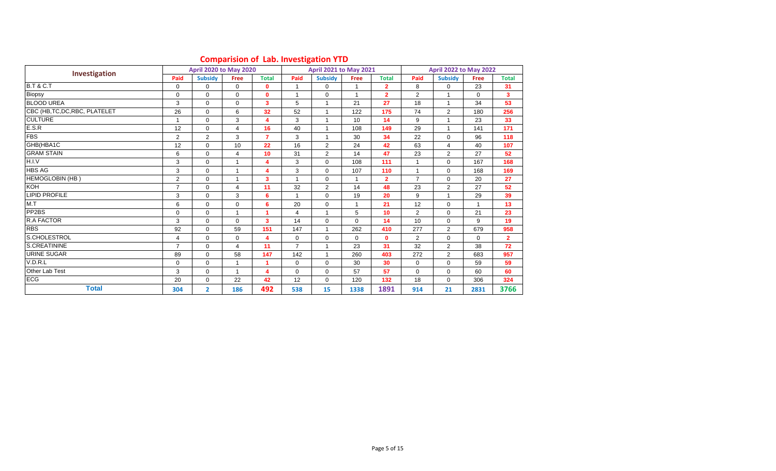|                                |                | <b>April 2020 to May 2020</b> |                |                         |                | $\frac{1}{2}$<br><b>April 2021 to May 2021</b> |              |                |                | <b>April 2022 to May 2022</b> |                      |                |
|--------------------------------|----------------|-------------------------------|----------------|-------------------------|----------------|------------------------------------------------|--------------|----------------|----------------|-------------------------------|----------------------|----------------|
| Investigation                  | Paid           | <b>Subsidy</b>                | Free           | <b>Total</b>            | Paid           | <b>Subsidy</b>                                 | <b>Free</b>  | <b>Total</b>   | Paid           | <b>Subsidy</b>                | <b>Free</b>          | <b>Total</b>   |
| <b>B.T &amp; C.T</b>           | 0              | $\mathbf 0$                   | $\mathbf 0$    | $\mathbf 0$             |                | $\mathbf 0$                                    |              | $\overline{2}$ | 8              | 0                             | 23                   | 31             |
| Biopsy                         | $\mathbf 0$    | $\Omega$                      | $\mathbf 0$    | $\mathbf{0}$            |                | $\Omega$                                       | 1            | $\overline{2}$ | $\overline{2}$ | 1                             | $\Omega$             | $\mathbf{3}$   |
| <b>BLOOD UREA</b>              | 3              | $\Omega$                      | $\mathbf 0$    | 3                       | 5              | $\mathbf{1}$                                   | 21           | 27             | 18             | $\overline{1}$                | 34                   | 53             |
| CBC (HB, TC, DC, RBC, PLATELET | 26             | $\Omega$                      | 6              | 32                      | 52             | $\mathbf{1}$                                   | 122          | 175            | 74             | $\overline{2}$                | 180                  | 256            |
| <b>CULTURE</b>                 | 1              | $\Omega$                      | 3              | $\overline{\mathbf{4}}$ | 3              | 1                                              | 10           | 14             | 9              | 1                             | 23                   | 33             |
| E.S.R                          | 12             | $\mathbf 0$                   | 4              | 16                      | 40             | $\mathbf{1}$                                   | 108          | 149            | 29             | $\overline{1}$                | 141                  | 171            |
| <b>FBS</b>                     | $\overline{2}$ | 2                             | 3              | $\overline{7}$          | 3              | $\mathbf{1}$                                   | 30           | 34             | 22             | $\mathbf 0$                   | 96                   | 118            |
| GHB(HBA1C                      | 12             | $\Omega$                      | 10             | 22                      | 16             | $\overline{2}$                                 | 24           | 42             | 63             | 4                             | 40                   | 107            |
| <b>GRAM STAIN</b>              | 6              | $\Omega$                      | 4              | 10                      | 31             | 2                                              | 14           | 47             | 23             | 2                             | 27                   | 52             |
| H.I.V                          | 3              | $\mathbf 0$                   | 1              | 4                       | 3              | $\mathbf 0$                                    | 108          | 111            |                | $\mathbf 0$                   | 167                  | 168            |
| <b>HBS AG</b>                  | 3              | $\mathbf 0$                   | $\overline{1}$ | 4                       | 3              | $\mathbf 0$                                    | 107          | 110            |                | $\mathbf 0$                   | 168                  | 169            |
| <b>HEMOGLOBIN (HB)</b>         | $\overline{2}$ | $\Omega$                      | 1              | 3                       |                | $\Omega$                                       | 1            | $\overline{2}$ | $\overline{7}$ | $\Omega$                      | 20                   | 27             |
| <b>KOH</b>                     | $\overline{7}$ | $\mathbf 0$                   | 4              | 11                      | 32             | $\overline{2}$                                 | 14           | 48             | 23             | $\overline{2}$                | 27                   | 52             |
| <b>LIPID PROFILE</b>           | 3              | $\Omega$                      | 3              | 6                       |                | $\mathbf 0$                                    | 19           | 20             | 9              | 1                             | 29                   | 39             |
| M.T                            | 6              | $\Omega$                      | 0              | 6                       | 20             | $\Omega$                                       | 1            | 21             | 12             | $\Omega$                      | $\blacktriangleleft$ | 13             |
| PP <sub>2</sub> BS             | $\mathbf 0$    | $\mathbf 0$                   | 1              | 1                       | 4              | 1                                              | 5            | 10             | $\overline{2}$ | $\mathbf 0$                   | 21                   | 23             |
| <b>R.A FACTOR</b>              | 3              | $\mathbf 0$                   | $\mathbf 0$    | $\overline{\mathbf{3}}$ | 14             | $\mathbf 0$                                    | $\Omega$     | 14             | 10             | $\mathbf 0$                   | 9                    | 19             |
| <b>RBS</b>                     | 92             | $\Omega$                      | 59             | 151                     | 147            | $\mathbf{1}$                                   | 262          | 410            | 277            | 2                             | 679                  | 958            |
| S.CHOLESTROL                   | 4              | $\mathbf 0$                   | $\mathbf 0$    | 4                       | $\mathbf{0}$   | $\mathbf 0$                                    | $\mathbf{0}$ | $\mathbf{0}$   | $\overline{2}$ | $\mathbf 0$                   | 0                    | $\overline{2}$ |
| S.CREATININE                   | $\overline{7}$ | $\Omega$                      | 4              | 11                      | $\overline{7}$ | $\overline{1}$                                 | 23           | 31             | 32             | $\overline{2}$                | 38                   | 72             |
| URINE SUGAR                    | 89             | $\Omega$                      | 58             | 147                     | 142            | 1                                              | 260          | 403            | 272            | $\overline{2}$                | 683                  | 957            |
| V.D.R.L                        | 0              | $\mathbf 0$                   | 1              | 1                       | 0              | $\mathbf 0$                                    | 30           | 30             | 0              | $\mathbf 0$                   | 59                   | 59             |
| Other Lab Test                 | 3              | $\Omega$                      |                | $\overline{\mathbf{4}}$ | $\Omega$       | $\Omega$                                       | 57           | 57             | $\Omega$       | $\Omega$                      | 60                   | 60             |
| <b>ECG</b>                     | 20             | $\Omega$                      | 22             | 42                      | 12             | $\Omega$                                       | 120          | 132            | 18             | $\Omega$                      | 306                  | 324            |
| <b>Total</b>                   | 304            | $\overline{2}$                | 186            | 492                     | 538            | 15                                             | 1338         | 1891           | 914            | 21                            | 2831                 | 3766           |

#### **Comparision of Lab. Investigation YTD**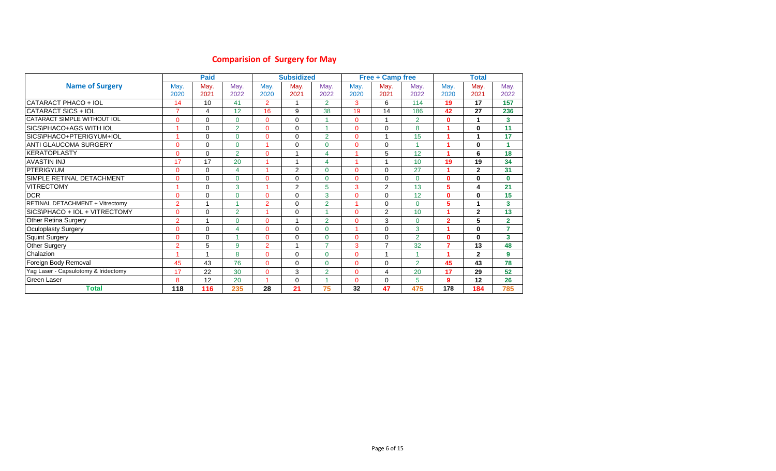# **Comparision of Surgery for May**

|                                      |                | <b>Paid</b> |                |                | <b>Subsidized</b> |                |          | <b>Free + Camp free</b> |                |                | <b>Total</b> |                |
|--------------------------------------|----------------|-------------|----------------|----------------|-------------------|----------------|----------|-------------------------|----------------|----------------|--------------|----------------|
| <b>Name of Surgery</b>               | May.           | May.        | May.           | May.           | May.              | May.           | May.     | May.                    | May.           | May.           | May.         | May.           |
|                                      | 2020           | 2021        | 2022           | 2020           | 2021              | 2022           | 2020     | 2021                    | 2022           | 2020           | 2021         | 2022           |
| CATARACT PHACO + IOL                 | 14             | 10          | 41             | 2              |                   | $\overline{2}$ | 3        | 6                       | 114            | 19             | 17           | 157            |
| CATARACT SICS + IOL                  | $\overline{7}$ | 4           | 12             | 16             | 9                 | 38             | 19       | 14                      | 186            | 42             | 27           | 236            |
| CATARACT SIMPLE WITHOUT IOL          | $\Omega$       | $\Omega$    | $\Omega$       | $\Omega$       | $\Omega$          |                | $\Omega$ | $\overline{\mathbf{A}}$ | $\overline{2}$ | $\mathbf{0}$   | 1            | 3              |
| SICS\PHACO+AGS WITH IOL              |                | $\Omega$    | $\overline{2}$ | $\mathbf{0}$   | $\Omega$          | и              | $\Omega$ | $\mathbf 0$             | 8              |                | $\bf{0}$     | 11             |
| SICS\PHACO+PTERIGYUM+IOL             |                | $\Omega$    | $\Omega$       | $\mathbf{0}$   | $\Omega$          | $\overline{2}$ | $\Omega$ | 1                       | 15             |                | 1            | 17             |
| ANTI GLAUCOMA SURGERY                | $\Omega$       | $\Omega$    | $\Omega$       |                | $\Omega$          | $\Omega$       | $\Omega$ | $\mathbf 0$             | и              |                | $\bf{0}$     | 1              |
| IKERATOPLASTY                        | $\Omega$       | $\Omega$    | $\overline{2}$ | $\Omega$       |                   | 4              |          | 5                       | 12             |                | 6            | 18             |
| <b>AVASTIN INJ</b>                   | 17             | 17          | 20             |                |                   | 4              |          |                         | 10             | 19             | 19           | 34             |
| <b>PTERIGYUM</b>                     | $\Omega$       | $\Omega$    | 4              |                | 2                 | $\Omega$       | $\Omega$ | $\Omega$                | 27             |                | $\mathbf{2}$ | 31             |
| SIMPLE RETINAL DETACHMENT            | $\Omega$       | $\Omega$    | 0              | $\mathbf 0$    | $\Omega$          | $\Omega$       | $\Omega$ | $\mathbf 0$             | $\Omega$       | $\mathbf{0}$   | $\Omega$     | $\mathbf{0}$   |
| <b>VITRECTOMY</b>                    |                | $\Omega$    | 3              |                | 2                 | 5              | 3        | 2                       | 13             | 5              | 4            | 21             |
| <b>DCR</b>                           | $\Omega$       | $\Omega$    | $\Omega$       | $\mathbf 0$    | $\Omega$          | 3              | $\Omega$ | $\mathbf 0$             | 12             | $\mathbf{0}$   | $\bf{0}$     | 15             |
| RETINAL DETACHMENT + Vitrectomy      | $\overline{2}$ | 1           |                | $\overline{2}$ | $\Omega$          | $\overline{2}$ | ٠        | $\mathbf 0$             | $\Omega$       | 5              | 1            | 3              |
| SICS\PHACO + IOL + VITRECTOMY        | $\Omega$       | 0           | $\overline{2}$ |                | $\Omega$          |                | $\Omega$ | 2                       | 10             |                | $\mathbf{2}$ | 13             |
| Other Retina Surgery                 | $\overline{2}$ | 1           | 0              | $\mathbf 0$    |                   | $\overline{2}$ | 0        | 3                       | $\Omega$       | $\overline{2}$ | 5            | $\overline{2}$ |
| Oculoplasty Surgery                  | $\Omega$       | $\Omega$    | 4              | $\mathbf{0}$   | $\Omega$          | $\Omega$       |          | $\mathbf 0$             | 3              |                | $\Omega$     | 7              |
| <b>Squint Surgery</b>                | $\overline{0}$ | $\Omega$    |                | $\Omega$       | $\Omega$          | $\Omega$       | $\Omega$ | $\mathbf 0$             | $\overline{2}$ | $\mathbf{0}$   | $\bf{0}$     | 3              |
| Other Surgery                        | $\overline{2}$ | 5           | 9              | $\overline{2}$ |                   | $\overline{7}$ | 3        | $\overline{7}$          | 32             | $\overline{7}$ | 13           | 48             |
| Chalazion                            |                | 1           | 8              | $\mathbf{0}$   | $\Omega$          | $\Omega$       | $\Omega$ | $\overline{ }$          |                |                | $\mathbf{2}$ | 9              |
| Foreign Body Removal                 | 45             | 43          | 76             | $\mathbf{0}$   | $\Omega$          | $\Omega$       | $\Omega$ | $\mathbf 0$             | $\overline{2}$ | 45             | 43           | 78             |
| Yag Laser - Capsulotomy & Iridectomy | 17             | 22          | 30             | $\mathbf{0}$   | 3                 | $\overline{2}$ | $\Omega$ | 4                       | 20             | 17             | 29           | 52             |
| Green Laser                          | 8              | 12          | 20             |                | $\Omega$          |                | $\Omega$ | $\mathbf 0$             | 5.             | 9              | 12           | 26             |
| <b>Total</b>                         | 118            | 116         | 235            | 28             | 21                | 75             | 32       | 47                      | 475            | 178            | 184          | 785            |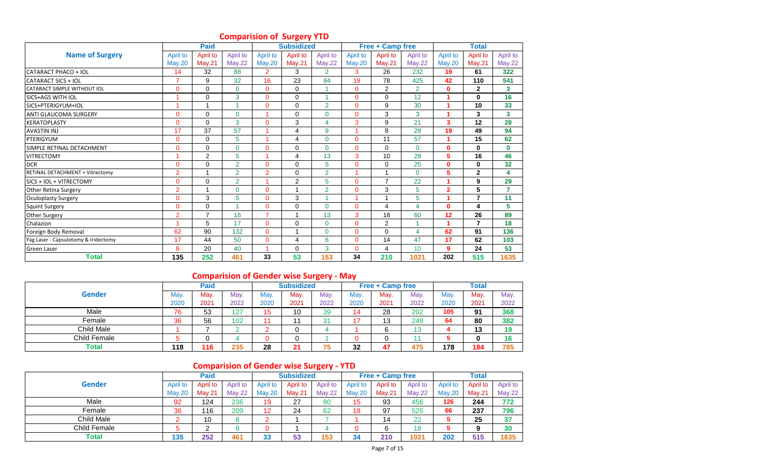|                                      |                | <b>Paid</b>    |                |                | <b>Subsidized</b> |                |                         | <b>Free + Camp free</b> |                |                | <b>Total</b>             |                         |
|--------------------------------------|----------------|----------------|----------------|----------------|-------------------|----------------|-------------------------|-------------------------|----------------|----------------|--------------------------|-------------------------|
| <b>Name of Surgery</b>               | April to       | April to       | April to       | April to       | April to          | April to       | April to                | April to                | April to       | April to       | April to                 | April to                |
|                                      | <b>May.20</b>  | <b>May.21</b>  | <b>May.22</b>  | <b>May.20</b>  | <b>May.21</b>     | <b>May.22</b>  | <b>May.20</b>           | <b>May.21</b>           | <b>May.22</b>  | <b>May.20</b>  | May.21                   | May.22                  |
| CATARACT PHACO + IOL                 | 14             | 32             | 88             | $\overline{2}$ | 3                 | $\overline{2}$ | 3                       | 26                      | 232            | 19             | 61                       | 322                     |
| <b>CATARACT SICS + IOL</b>           | $\overline{7}$ | 9              | 32             | 16             | 23                | 84             | 19                      | 78                      | 425            | 42             | 110                      | 541                     |
| <b>CATARACT SIMPLE WITHOUT IOL</b>   | $\Omega$       | 0              | $\Omega$       | $\mathbf{0}$   | 0                 |                | $\Omega$                | 2                       | $\overline{2}$ | $\mathbf{0}$   | $\mathbf{2}$             | 3                       |
| SICS+AGS WITH IOL                    |                | $\Omega$       | 3              | $\overline{0}$ | 0                 |                | $\Omega$                | $\mathbf 0$             | 12             |                | $\mathbf{0}$             | 16                      |
| SICS+PTERIGYUM+IOL                   |                | $\overline{A}$ |                | $\overline{0}$ | $\Omega$          | $\overline{2}$ | $\Omega$                | 9                       | 30             |                | 10                       | 33                      |
| <b>ANTI GLAUCOMA SURGERY</b>         | $\mathbf{0}$   | 0              | $\Omega$       | 1              | $\Omega$          | $\mathbf{0}$   | $\mathbf{0}$            | 3                       | 3              |                | 3                        | $\overline{\mathbf{3}}$ |
| <b>KERATOPLASTY</b>                  | $\Omega$       | $\Omega$       | 3              | $\Omega$       | 3                 | 4              | 3                       | 9                       | 21             | 3              | 12                       | 28                      |
| <b>AVASTIN INJ</b>                   | 17             | 37             | 57             | и              | 4                 | 9              |                         | 8                       | 28             | 19             | 49                       | 94                      |
| PTERIGYUM                            | $\Omega$       | $\Omega$       | 5              |                | 4                 | $\Omega$       | $\Omega$                | 11                      | 57             |                | 15                       | 62                      |
| SIMPLE RETINAL DETACHMENT            | $\Omega$       | $\Omega$       | $\Omega$       | $\Omega$       | $\Omega$          | $\Omega$       | $\Omega$                | $\mathbf 0$             | $\Omega$       | $\mathbf{0}$   | 0                        | $\mathbf{0}$            |
| <b>VITRECTOMY</b>                    |                | $\overline{2}$ | 5              | и              | 4                 | 13             | 3                       | 10                      | 28             | 5              | 16                       | 46                      |
| <b>DCR</b>                           | $\Omega$       | $\Omega$       | $\overline{2}$ | $\overline{0}$ | $\Omega$          | 5              | $\Omega$                | $\mathbf 0$             | 25             | $\mathbf{0}$   | $\mathbf{0}$             | 32                      |
| RETINAL DETACHMENT + Vitrectomy      | $\overline{2}$ | 1              | $\overline{2}$ | $\overline{2}$ | $\Omega$          | $\overline{2}$ | $\overline{\mathbf{A}}$ | $\mathbf{1}$            | $\Omega$       | 5              | $\overline{2}$           | 4                       |
| SICS + IOL + VITRECTOMY              | $\Omega$       | $\Omega$       | $\overline{2}$ |                | $\overline{2}$    | 5              | $\Omega$                | $\overline{7}$          | 22             |                | 9                        | 29                      |
| <b>Other Retina Surgery</b>          | $\overline{2}$ | $\overline{ }$ | $\Omega$       | $\overline{0}$ | 4                 | $\overline{2}$ | $\Omega$                | 3                       | 5              | $\overline{2}$ | 5                        | $\overline{7}$          |
| <b>Oculoplasty Surgery</b>           | 0              | 3              | 5              | $\overline{0}$ | 3                 |                |                         | $\overline{ }$          | 5              |                | $\overline{\phantom{a}}$ | 11                      |
| Squint Surgery                       | $\Omega$       | $\Omega$       |                | $\overline{0}$ | 0                 | $\Omega$       | $\Omega$                | $\overline{4}$          | 4              | $\mathbf{0}$   | 4                        | 5                       |
| Other Surgery                        | $\overline{2}$ | $\overline{7}$ | 16             | $\overline{7}$ | 1                 | 13             | 3                       | 18                      | 60             | 12             | 26                       | 89                      |
| Chalazion                            |                | 5              | 17             | $\mathbf{0}$   | 0                 | $\mathbf{0}$   | $\Omega$                | 2                       |                |                | 7                        | 18                      |
| Foreign Body Removal                 | 62             | 90             | 132            | $\Omega$       | 4                 | $\mathbf{0}$   | $\Omega$                | $\Omega$                | 4              | 62             | 91                       | 136                     |
| Yag Laser - Capsulotomy & Iridectomy | 17             | 44             | 50             | $\overline{0}$ | 4                 | 6              | $\Omega$                | 14                      | 47             | 17             | 62                       | 103                     |
| <b>Green Laser</b>                   | 8              | 20             | 40             | 1              | $\Omega$          | 3              | $\Omega$                | $\overline{4}$          | 10             | 9              | 24                       | 53                      |
| <b>Total</b>                         | 135            | 252            | 461            | 33             | 53                | 153            | 34                      | 210                     | 1021           | 202            | 515                      | 1635                    |

### **Comparision of Surgery YTD**

### **Comparision of Gender wise Surgery - May**

|               |      | Paid |      |      | <b>Subsidized</b> |      |      | <b>Free + Camp free</b> |      |      | <b>Total</b> |      |
|---------------|------|------|------|------|-------------------|------|------|-------------------------|------|------|--------------|------|
| <b>Gender</b> | May. | May. | May. | May. | May.              | May. | May. | May.                    | May. | Mav. | May.         | May. |
|               | 2020 | 2021 | 2022 | 2020 | 2021              | 2022 | 2020 | 2021                    | 2022 | 2020 | 2021         | 2022 |
| Male          | 76   | 53   | 127  | 15   | 10                | 39   | 14   | 28                      | 202  | 105  | 91           | 368  |
| Female        | 36   | 56   | 102  |      |                   | 31   |      | 13                      | 249  | 64   | 80           | 382  |
| Child Male    |      |      |      |      |                   |      |      |                         | ៱    |      | 49<br>IJ     | 19   |
| Child Female  |      |      |      |      |                   |      |      |                         |      |      |              | 16   |
| <b>Total</b>  | 118  | 116  | 235  | 28   | 21                | 75   | 32   | 47                      | 475  | 178  | 184          | 785  |

### **Comparision of Gender wise Surgery - YTD**

|                   |          | <b>Paid</b> |          |          | <b>Subsidized</b> |               |          | <b>Free + Camp free</b> |               |          | <b>Total</b> |               |
|-------------------|----------|-------------|----------|----------|-------------------|---------------|----------|-------------------------|---------------|----------|--------------|---------------|
| <b>Gender</b>     | April to | April to    | April to | April to | April to          | April to      | April to | April to                | April to      | April to | April to     | April to      |
|                   | Mav.20   | May.21      | May.22   | Mav.20   | Mav.21            | <b>May.22</b> | Mav.20   | Mav.21                  | <b>May.22</b> | May.20   | Mav.21       | <b>May.22</b> |
| Male              | 92       | 124         | 236      | 19       | 27                | 80            | 15       | 93                      | 456           | 126      | 244          | 772           |
| Female            | 36       | 116         | 209      | 12       | 24                | 62            | 18       | 97                      | 525           | 66       | 237          | 796           |
| <b>Child Male</b> |          | 10          |          |          |                   |               |          | 14                      | 22            |          | 25           | 37            |
| Child Female      |          | ◠           |          |          |                   |               | 0        | 6                       | 18            | 5        | 9            | 30            |
| Total             | 135      | 252         | 461      | 33       | 53                | 153           | 34       | 210                     | 1021          | 202      | 515          | 1635          |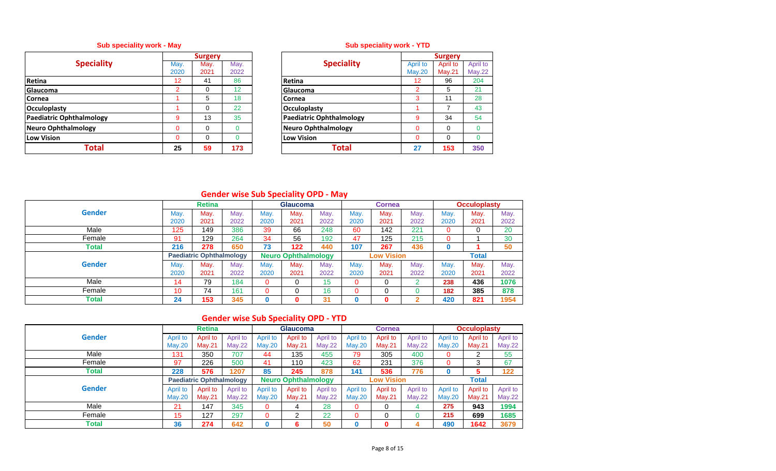### **Sub speciality work - May Sub speciality work - YTD**

|                            |                 | <b>Surgery</b> |      |                                 |
|----------------------------|-----------------|----------------|------|---------------------------------|
| <b>Speciality</b>          | May.            | May.           | May. | <b>Speciality</b>               |
|                            | 2020            | 2021           | 2022 |                                 |
| Retina                     | 12 <sup>2</sup> | 41             | 86   | Retina                          |
| Glaucoma                   | $\mathcal{P}$   | 0              | 12   | Glaucoma                        |
| <b>Cornea</b>              |                 | 5              | 18   | Cornea                          |
| <b>Occuloplasty</b>        |                 | $\Omega$       | 22   | Occuloplasty                    |
| Paediatric Ophthalmology   | 9               | 13             | 35   | <b>Paediatric Ophthalmology</b> |
| <b>Neuro Ophthalmology</b> | 0               | 0              |      | Neuro Ophthalmology             |
| <b>Low Vision</b>          | 0               | $\Omega$       |      | <b>Low Vision</b>               |
| Total                      | 25              | 59             | 173  | Total                           |

| <b>Speciality</b><br>lay.<br>April to<br>May.<br>April to<br>May.<br>020<br><b>May.21</b><br>2022<br>May.20<br>2021<br>12<br>204<br>86<br>41<br>96<br>$12 \overline{ }$<br>Retina<br>$\overline{2}$<br>21<br>12<br>$\overline{2}$<br>5<br>0<br>Glaucoma<br>5<br>1<br>28<br>18<br>3<br>11<br>Cornea<br>43<br>22<br>7<br>$\Omega$<br><b>Occuloplasty</b><br>$\overline{9}$<br><b>Paediatric Ophthalmology</b><br>13<br>35<br>54<br>34<br>9<br><b>Neuro Ophthalmology</b><br>$\overline{0}$<br>$\Omega$<br>$\Omega$<br>0<br>$\Omega$<br>$\Omega$<br>$\mathbf{0}$<br><b>Low Vision</b><br>$\Omega$<br>0<br>0<br>0<br>Total<br>25<br>59<br>173<br>350<br>27<br>153 | <b>Surgery</b> |  |  | <b>Surgery</b> |               |
|---------------------------------------------------------------------------------------------------------------------------------------------------------------------------------------------------------------------------------------------------------------------------------------------------------------------------------------------------------------------------------------------------------------------------------------------------------------------------------------------------------------------------------------------------------------------------------------------------------------------------------------------------------------|----------------|--|--|----------------|---------------|
|                                                                                                                                                                                                                                                                                                                                                                                                                                                                                                                                                                                                                                                               |                |  |  |                | April to      |
|                                                                                                                                                                                                                                                                                                                                                                                                                                                                                                                                                                                                                                                               |                |  |  |                | <b>May.22</b> |
|                                                                                                                                                                                                                                                                                                                                                                                                                                                                                                                                                                                                                                                               |                |  |  |                |               |
|                                                                                                                                                                                                                                                                                                                                                                                                                                                                                                                                                                                                                                                               |                |  |  |                |               |
|                                                                                                                                                                                                                                                                                                                                                                                                                                                                                                                                                                                                                                                               |                |  |  |                |               |
|                                                                                                                                                                                                                                                                                                                                                                                                                                                                                                                                                                                                                                                               |                |  |  |                |               |
|                                                                                                                                                                                                                                                                                                                                                                                                                                                                                                                                                                                                                                                               |                |  |  |                |               |
|                                                                                                                                                                                                                                                                                                                                                                                                                                                                                                                                                                                                                                                               |                |  |  |                |               |
|                                                                                                                                                                                                                                                                                                                                                                                                                                                                                                                                                                                                                                                               |                |  |  |                |               |
|                                                                                                                                                                                                                                                                                                                                                                                                                                                                                                                                                                                                                                                               |                |  |  |                |               |

### **Gender wise Sub Speciality OPD - May**

|               |            | <b>Retina</b>                   |      |      | <b>Glaucoma</b>            |      |      | <b>Cornea</b>     |      |          | <b>Occuloplasty</b> |      |
|---------------|------------|---------------------------------|------|------|----------------------------|------|------|-------------------|------|----------|---------------------|------|
| <b>Gender</b> | <b>May</b> | May.                            | May. | May. | May.                       | May. | May. | May.              | May. | May.     | May.                | May. |
|               | 2020       | 2021                            | 2022 | 2020 | 2021                       | 2022 | 2020 | 2021              | 2022 | 2020     | 2021                | 2022 |
| Male          | 125        | 149                             | 386  | 39   | 66                         | 248  | 60   | 142               | 221  | 0        |                     | 20   |
| Female        | 91         | 129                             | 264  | 34   | 56                         | 192  | 47   | 125               | 215  | $\Omega$ |                     | 30   |
| <b>Total</b>  | 216        | 278                             | 650  | 73   | 122                        | 440  | 107  | 267               | 436  |          |                     | 50   |
|               |            | <b>Paediatric Ophthalmology</b> |      |      | <b>Neuro Ophthalmology</b> |      |      | <b>Low Vision</b> |      |          | <b>Total</b>        |      |
| <b>Gender</b> | <b>May</b> | May.                            | May. | May. | May.                       | May. | May. | May.              | May. | May.     | May.                | May. |
|               | 2020       | 2021                            | 2022 | 2020 | 2021                       | 2022 | 2020 | 2021              | 2022 | 2020     | 2021                | 2022 |
| Male          | 14         | 79                              | 184  | 0    |                            | 15   |      | 0                 |      | 238      | 436                 | 1076 |
| Female        | 10         | 74                              | 161  | 0    |                            | 16   |      | ∩                 |      | 182      | 385                 | 878  |
| Total         | 24         | 153                             | 345  | 0    | 0                          | 31   | 0    | O                 |      | 420      | 821                 | 1954 |

## **Gender wise Sub Speciality OPD - YTD**

|               |               | <b>Retina</b>                   |               |               | Glaucoma                   |               |               | <b>Cornea</b>     |               |               | <b>Occuloplasty</b> |               |
|---------------|---------------|---------------------------------|---------------|---------------|----------------------------|---------------|---------------|-------------------|---------------|---------------|---------------------|---------------|
| <b>Gender</b> | April to      | April to                        | April to      | April to      | April to                   | April to      | April to      | April to          | April to      | April to      | April to            | April to      |
|               | Mav.20        | $M$ ay.21                       | <b>May.22</b> | <b>May.20</b> | $M$ ay.21                  | <b>May.22</b> | <b>May.20</b> | Mav.21            | May.22        | <b>May.20</b> | May.21              | <b>May.22</b> |
| Male          | 131           | 350                             | 707           | 44            | 135                        | 455           | 79            | 305               | 400           | $\Omega$      | ⌒                   | 55            |
| Female        | 97            | 226                             | 500           | 41            | 110                        | 423           | 62            | 231               | 376           | 0             | 3                   | 67            |
| Total         | 228           | 576                             | 1207          | 85            | 245                        | 878           | 141           | 536               | 776           | $\bf{0}$      | 5                   | 122           |
|               |               | <b>Paediatric Ophthalmology</b> |               |               | <b>Neuro Ophthalmology</b> |               |               | <b>Low Vision</b> |               |               | <b>Total</b>        |               |
| <b>Gender</b> | April to      | April to                        | April to      | April to      | April to                   | April to      | April to      | April to          | April to      | April to      | April to            | April to      |
|               | <b>May.20</b> | $M$ ay.21                       | <b>May.22</b> | <b>May.20</b> | Mav.21                     | <b>May.22</b> | <b>May.20</b> | Mav.21            | <b>May.22</b> | <b>May.20</b> | May.21              | May.22        |
| Male          | 21            | 147                             | 345           | 0             |                            | 28            |               |                   |               | 275           | 943                 | 1994          |
| Female        | 15            | 127                             | 297           | 0             | ◠                          | 22            |               |                   |               | 215           | 699                 | 1685          |
| Total         | 36            | 274                             | 642           | 0             | 6                          | 50            |               | 0                 |               | 490           | 1642                | 3679          |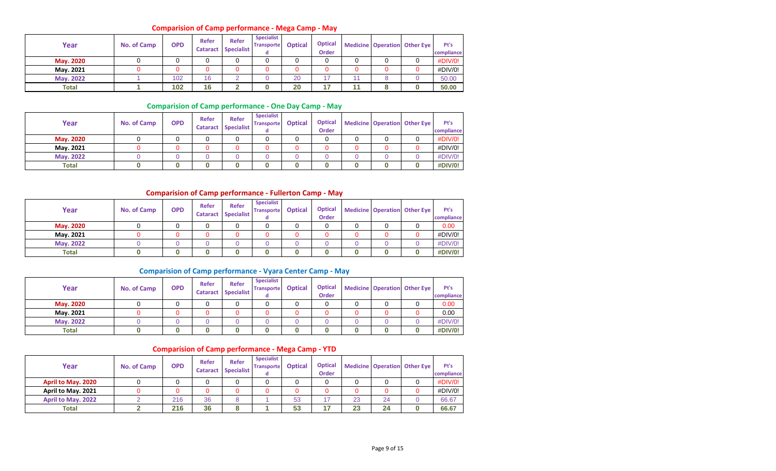### **Comparision of Camp performance - Mega Camp - May**

| Year             | No. of Camp | <b>OPD</b> | Refer<br><b>Cataract</b> | Refer<br><b>Specialist</b> | <b>Specialist</b><br><b>Transporte</b> | <b>Optical</b> | <b>Optical</b><br><b>Order</b> |    | Medicine Operation Other Eye | Pt's<br>compliance |
|------------------|-------------|------------|--------------------------|----------------------------|----------------------------------------|----------------|--------------------------------|----|------------------------------|--------------------|
| <b>May. 2020</b> |             |            |                          |                            |                                        |                |                                |    |                              | #DIV/0!            |
| May. 2021        |             |            |                          |                            |                                        |                |                                |    |                              | #DIV/0!            |
| <b>May. 2022</b> |             | 102        | 16                       |                            |                                        | 20             | 47                             | 11 |                              | 50.00              |
| Total            |             | 102        | 16                       |                            |                                        | 20             | 47                             | 44 |                              | 50.00              |

### **Comparision of Camp performance - One Day Camp - May**

| Year             | No. of Camp | <b>OPD</b> | Refer<br><b>Cataract</b> | <b>Refer</b><br>Specialist | <b>Specialist</b><br><b>Transporte</b> | <b>Optical</b> | <b>Optical</b><br><b>Order</b> |  | Medicine Operation Other Eye | Pt's<br>compliance |
|------------------|-------------|------------|--------------------------|----------------------------|----------------------------------------|----------------|--------------------------------|--|------------------------------|--------------------|
| May. 2020        |             |            |                          |                            |                                        |                |                                |  |                              | #DIV/0!            |
| May. 2021        |             |            |                          |                            |                                        |                |                                |  |                              | #DIV/0!            |
| <b>May. 2022</b> |             |            |                          |                            |                                        |                |                                |  |                              | #DIV/0!            |
| <b>Total</b>     |             |            |                          |                            |                                        |                |                                |  |                              | #DIV/0!            |

#### **Comparision of Camp performance - Fullerton Camp - May**

| Year             | No. of Camp | <b>OPD</b> | Refer<br><b>Cataract</b> | <b>Refer</b><br>Specialist | <b>Specialist</b><br><b>Transporte</b> | <b>Optical</b> | <b>Optical</b><br><b>Order</b> |  | Medicine Operation Other Eye | Pt's<br>compliance |
|------------------|-------------|------------|--------------------------|----------------------------|----------------------------------------|----------------|--------------------------------|--|------------------------------|--------------------|
| <b>May. 2020</b> |             |            |                          |                            |                                        |                |                                |  |                              | 0.00               |
| May. 2021        |             |            |                          |                            |                                        |                |                                |  |                              | #DIV/0!            |
| May. 2022        |             |            |                          |                            |                                        |                |                                |  |                              | #DIV/0!            |
| <b>Total</b>     |             |            |                          |                            |                                        |                |                                |  |                              | #DIV/0!            |

### **Comparision of Camp performance - Vyara Center Camp - May**

| Year             | No. of Camp | <b>OPD</b> | Refer | <b>Refer</b><br><b>Cataract Specialist</b> | <b>Specialist</b><br><b>Transporte</b> | <b>Optical</b> | <b>Optical</b><br><b>Order</b> |  | Medicine Operation Other Eye | Pt's<br>compliance |
|------------------|-------------|------------|-------|--------------------------------------------|----------------------------------------|----------------|--------------------------------|--|------------------------------|--------------------|
| May. 2020        |             |            |       |                                            |                                        |                |                                |  |                              | 0.00               |
| Mav. 2021        |             |            |       | ∩                                          |                                        |                |                                |  |                              | 0.00               |
| <b>May. 2022</b> |             |            |       |                                            |                                        |                |                                |  |                              | #DIV/0!            |
| <b>Total</b>     |             |            |       |                                            |                                        |                |                                |  |                              | #DIV/0!            |

#### **Comparision of Camp performance - Mega Camp - YTD**

| Year               | No. of Camp | <b>OPD</b> | Refer<br><b>Cataract</b> | <b>Refer</b><br><b>Specialist</b> | <b>Specialist</b><br><b>Transporte</b> | <b>Optical</b> | <b>Optical</b><br><b>Order</b> |    |    | <b>Medicine Operation Other Eye</b> | Pt's<br>compliance |
|--------------------|-------------|------------|--------------------------|-----------------------------------|----------------------------------------|----------------|--------------------------------|----|----|-------------------------------------|--------------------|
| April to May. 2020 |             |            |                          |                                   |                                        |                |                                |    |    |                                     | #DIV/0!            |
| April to May. 2021 |             | 0          |                          |                                   |                                        |                |                                |    |    |                                     | #DIV/0!            |
| April to May. 2022 |             | 216        | 36                       |                                   |                                        | 53             |                                | 23 | 24 |                                     | 66.67              |
| Total              |             | 216        | 36                       |                                   |                                        | 53             | .                              | 23 | 24 |                                     | 66.67              |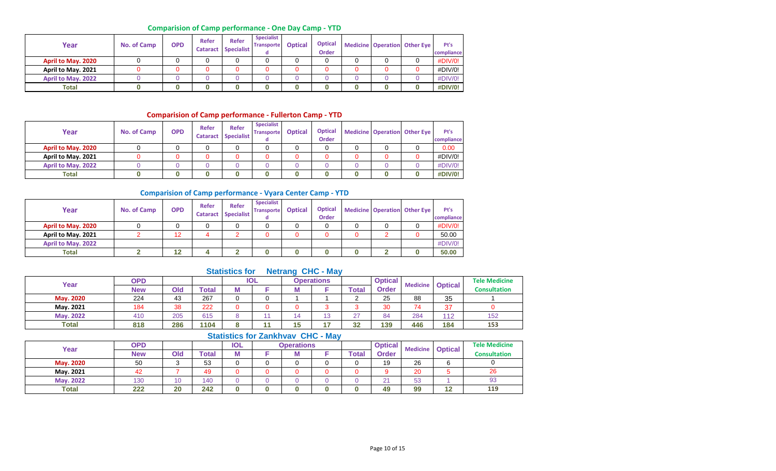### **Comparision of Camp performance - One Day Camp - YTD**

| Year               | No. of Camp | <b>OPD</b> | Refer | <b>Refer</b><br><b>Cataract Specialist</b> | <b>Specialist</b><br><b>Transporte</b> | <b>Optical</b> | <b>Optical</b><br><b>Order</b> |  | <b>Medicine Operation Other Eye</b> | Pt's<br>compliance |
|--------------------|-------------|------------|-------|--------------------------------------------|----------------------------------------|----------------|--------------------------------|--|-------------------------------------|--------------------|
| April to May. 2020 |             |            |       | 0                                          |                                        |                |                                |  |                                     | #DIV/0!            |
| April to May. 2021 |             |            |       | 0                                          |                                        |                |                                |  |                                     | #DIV/0!            |
| April to May. 2022 |             |            |       |                                            |                                        |                |                                |  |                                     | #DIV/0!            |
| <b>Total</b>       |             |            |       |                                            |                                        |                |                                |  |                                     | #DIV/0!            |

### **Comparision of Camp performance - Fullerton Camp - YTD**

| Year               | No. of Camp | <b>OPD</b> | Refer<br><b>Cataract</b> | <b>Refer</b><br><b>Specialist</b> | <b>Specialist</b><br><b>Transporte</b> | <b>Optical</b> | <b>Optical</b><br><b>Order</b> |  | <b>Medicine Operation Other Eye</b> | Pt's<br>compliance |
|--------------------|-------------|------------|--------------------------|-----------------------------------|----------------------------------------|----------------|--------------------------------|--|-------------------------------------|--------------------|
| April to May. 2020 |             |            |                          |                                   |                                        |                |                                |  |                                     | 0.00               |
| April to May. 2021 |             |            |                          |                                   |                                        |                |                                |  |                                     | #DIV/0!            |
| April to May. 2022 |             |            |                          |                                   |                                        |                |                                |  |                                     | #DIV/0!            |
| <b>Total</b>       |             |            |                          |                                   |                                        |                |                                |  |                                     | #DIV/0!            |

#### **Comparision of Camp performance - Vyara Center Camp - YTD**

| Year               | <b>No. of Camp</b> | <b>OPD</b> | Refer<br><b>Cataract</b> | <b>Refer</b><br>Specialist | <b>Specialist</b><br><b>Transporte</b><br>α | <b>Optical</b> | <b>Optical</b><br><b>Order</b> |  | <b>Medicine Operation Other Eye</b> | Pt's<br>compliance |
|--------------------|--------------------|------------|--------------------------|----------------------------|---------------------------------------------|----------------|--------------------------------|--|-------------------------------------|--------------------|
| April to May. 2020 |                    |            |                          |                            |                                             |                |                                |  |                                     | #DIV/0!            |
| April to May. 2021 |                    | 12         |                          |                            |                                             |                |                                |  |                                     | 50.00              |
| April to May. 2022 |                    |            |                          |                            |                                             |                |                                |  |                                     | #DIV/0!            |
| <b>Total</b>       |                    | 12         |                          |                            |                                             |                |                                |  |                                     | 50.00              |

### **Statistics for Netrang CHC - May**

| Year             | <b>OPD</b> |     |       |   | <b>IOL</b> |    | <b>Operations</b> |                    | <b>Optical</b> | <b>Medicine</b> | <b>Optical</b> | <b>Tele Medicine</b> |
|------------------|------------|-----|-------|---|------------|----|-------------------|--------------------|----------------|-----------------|----------------|----------------------|
|                  | <b>New</b> | Old | `otal |   |            |    |                   | Total              | Order          |                 |                | <b>Consultation</b>  |
| <b>May. 2020</b> | 224        | 43  | 267   |   |            |    |                   |                    | 25             | 88              | 35             |                      |
| Mav. 2021        | 184        | 38  | 222   |   |            |    |                   |                    | 30             | $\rightarrow$   | 37             |                      |
| <b>May. 2022</b> | 410        | 205 | 615   |   |            |    | $\sim$<br>13      | $\sim$<br><u>_</u> | 84             | 284             | 112            | 152                  |
| Total            | 818        | 286 | 1104  | o |            | 15 |                   | 32                 | 139            | 446             | 184            | 153                  |

|           |            |     |              |            | <b>ULAUSIUS IVI LAHNIVAV UTU - MAY</b> |                   |       |                |                         |    |                      |
|-----------|------------|-----|--------------|------------|----------------------------------------|-------------------|-------|----------------|-------------------------|----|----------------------|
| Year      | <b>OPD</b> |     |              | <b>IOL</b> |                                        | <b>Operations</b> |       | <b>Optical</b> | Medicine <b>Optical</b> |    | <b>Tele Medicine</b> |
|           | <b>New</b> | Old | <b>Total</b> | М          |                                        | IΜ                | `otal | <b>Order</b>   |                         |    | <b>Consultation</b>  |
| May. 2020 | 50         |     | 53           |            |                                        |                   |       | 19             | 26                      |    |                      |
| May. 2021 | 42         |     | 49           |            |                                        |                   |       |                | 20                      |    | 26                   |
| May. 2022 | 130        | 10  | 140          |            |                                        |                   |       | $\Omega$       | 53                      |    | 93                   |
| Total     | 222        | 20  | 242          |            |                                        |                   |       | 49             | 99                      | 12 | 119                  |

#### **Statistics for Zankhvav CHC - May**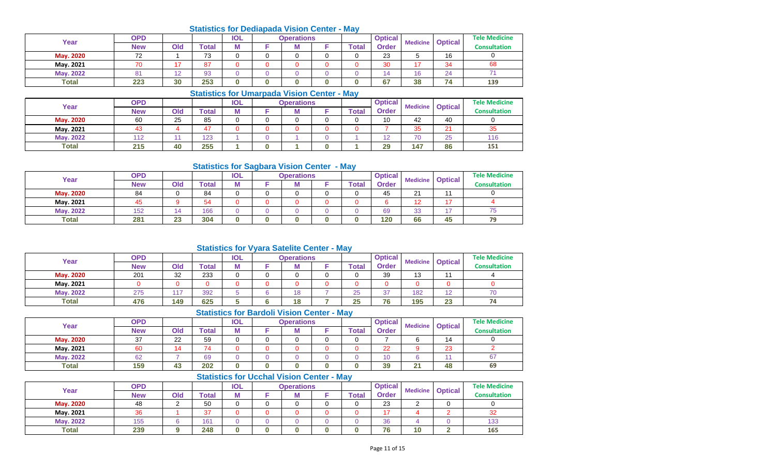### **Statistics for Dediapada Vision Center - May**

| Year             | <b>OPD</b>               |        |       | <b>IOL</b> | <b>Operations</b> |       | <b>Optical</b> | <b>Medicine</b>          | <b>Optical</b> | <b>Tele Medicine</b> |
|------------------|--------------------------|--------|-------|------------|-------------------|-------|----------------|--------------------------|----------------|----------------------|
|                  | <b>New</b>               | Old    | `otal | M          | M                 | Total | Order          |                          |                | <b>Consultation</b>  |
| May. 2020        | $\overline{\phantom{a}}$ |        | 73    |            |                   |       | 23             |                          | 16             |                      |
| Mav. 2021        | 70                       |        | 87    |            |                   |       | 30             |                          | 34             | 68                   |
| <b>May. 2022</b> | $^{\circ}$               | $\sim$ | 93    |            |                   |       | 14             | $\overline{\phantom{a}}$ | 24             |                      |
| <b>Total</b>     | 223                      | 30     | 253   |            |                   |       | 67             | 38                       | 74             | 139                  |

### **Statistics for Umarpada Vision Center - May**

| Year             | <b>OPD</b> |     |       | <b>IOL</b> | <b>Operations</b> |       | <b>Optical</b> | <b>Medicine</b> | <b>Optical</b> | <b>Tele Medicine</b> |
|------------------|------------|-----|-------|------------|-------------------|-------|----------------|-----------------|----------------|----------------------|
|                  | <b>New</b> | Old | 'otal | M          | M                 | Total | Order          |                 |                | <b>Consultation</b>  |
| May. 2020        | 60         | 25  | 85    |            |                   |       | 10             | 42              | 40             |                      |
| Mav. 2021        |            |     | --    |            |                   |       |                | 35              | 21             | 35                   |
| <b>May. 2022</b> | 140        |     | 123   |            |                   |       | 12             | 70              | 25             | 116                  |
| <b>Total</b>     | 215        | 40  | 255   |            |                   |       | 29             | 147             | 86             | 151                  |

### **Statistics for Sagbara Vision Center - May**

| Year             | OPD        |     |                  | <b>IOL</b> | <b>Operations</b> |       | <b>Optical</b> | <b>Medicine</b> | <b>Optical</b> | <b>Tele Medicine</b> |
|------------------|------------|-----|------------------|------------|-------------------|-------|----------------|-----------------|----------------|----------------------|
|                  | <b>New</b> | Old | $\mathsf{Total}$ | M          | M                 | Total | <b>Order</b>   |                 |                | <b>Consultation</b>  |
| May. 2020        | 84         |     | 84               |            |                   |       | 45             | 21              | 11             |                      |
| May. 2021        | 45         |     | 54               |            |                   |       |                | 1 C             | 17             |                      |
| <b>May. 2022</b> | 152        |     | 166              |            |                   |       | 69             | 33              |                | /5                   |
| <b>Total</b>     | 281        | 23  | 304              |            |                   |       | 120            | 66              | 45             | 79                   |

### **Statistics for Vyara Satelite Center - May**

| Year             | <b>OPD</b> |               |       | <b>IOL</b> | <b>Operations</b> |       | <b>Optical</b>  | <b>Medicine</b> | <b>Optical</b>               | <b>Tele Medicine</b> |
|------------------|------------|---------------|-------|------------|-------------------|-------|-----------------|-----------------|------------------------------|----------------------|
|                  | <b>New</b> | Old           | Total |            | M                 | `otal | <b>Order</b>    |                 |                              | <b>Consultation</b>  |
| May. 2020        | 201        | 32            | 233   |            |                   |       | 39              | 12<br>ں ا       |                              |                      |
| May. 2021        |            |               |       |            |                   |       |                 |                 |                              |                      |
| <b>May. 2022</b> | 275        | $\rightarrow$ | 392   |            | 18                | 25    | 27<br><u>J7</u> | 182             | $\overline{a}$<br>$\epsilon$ | 70                   |
| <b>Total</b>     | 476        | 149           | 625   |            | 18                | 25    | 76              | 195             | 23                           | 74                   |

### **Statistics for Bardoli Vision Center - May**

| Year             | <b>OPD</b> |          |       | <b>IOL</b> | <b>Operations</b> |              | <b>Optical</b> | <b>Medicine</b> | <b>Optical</b> | <b>Tele Medicine</b> |
|------------------|------------|----------|-------|------------|-------------------|--------------|----------------|-----------------|----------------|----------------------|
|                  | <b>New</b> | Old      | Total |            | M                 | <b>Total</b> | <b>Order</b>   |                 |                | <b>Consultation</b>  |
| May. 2020        | 37         | ററ<br>22 | 59    |            |                   |              |                |                 | 14             |                      |
| May. 2021        | 60         |          | 74    |            |                   |              | 22             |                 | 23             |                      |
| <b>May. 2022</b> | 62         |          | 69    |            |                   |              | 10             |                 |                | 67                   |
| <b>Total</b>     | 159        | 43       | 202   |            |                   |              | 39             | 21              | 48             | 69                   |

### **Statistics for Ucchal Vision Center - May**

| Year             | OPD |     |       | <b>IOL</b> | <b>Operations</b> |       | <b>Optical</b> | <b>Medicine</b> | <b>Optical</b> | <b>Tele Medicine</b> |
|------------------|-----|-----|-------|------------|-------------------|-------|----------------|-----------------|----------------|----------------------|
|                  | New | Old | `otal | M          | IVI               | Total | <b>Order</b>   |                 |                | <b>Consultation</b>  |
| May. 2020        | 48  |     | 50    |            |                   |       | 23             |                 |                |                      |
| Mav. 2021        | 36  |     | 37    |            |                   |       | ៱              |                 |                | 32                   |
| <b>May. 2022</b> | 155 |     | 161   |            |                   |       | 36             |                 |                | 133                  |
| <b>Total</b>     | 239 |     | 248   |            |                   |       | 76             | 10              |                | 165                  |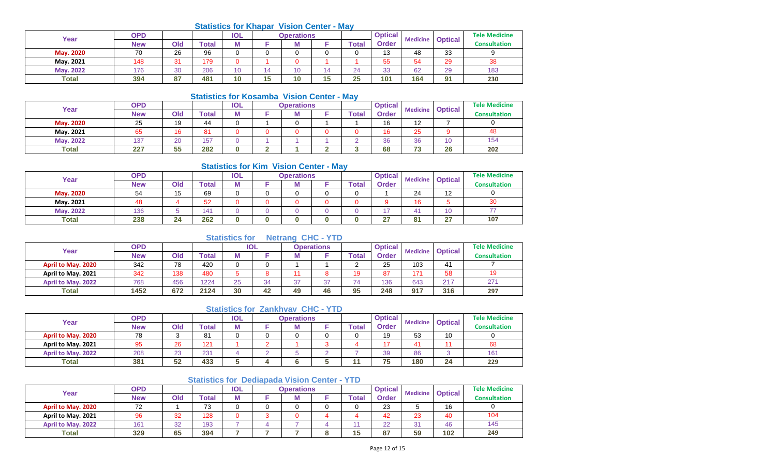### **Statistics for Khapar Vision Center - May**

| Year             | <b>OPD</b> |         |                         | <b>IOL</b> |    | <b>Operations</b> |           |       | <b>Optical</b> | <b>Medicine</b> | <b>Optical</b> | <b>Tele Medicine</b> |
|------------------|------------|---------|-------------------------|------------|----|-------------------|-----------|-------|----------------|-----------------|----------------|----------------------|
|                  | <b>New</b> | Old     | <b><sup>r</sup>otal</b> | IVI        |    |                   |           | Total | Order          |                 |                | Consultation         |
| <b>May. 2020</b> | 70         | 26      | 96                      | 0          |    |                   |           | ັ     | 13             | 48              | 33             |                      |
| May. 2021        | 148        | 31<br>ັ | 179                     | ∩          |    |                   |           |       | 55             | 54              | 29             | 38                   |
| May. 2022        | 176        | 30      | 206                     | 10         |    | 10                |           | 24    | 33             | 62              | 29             | 183                  |
| <b>Total</b>     | 394        | 87      | 481                     | 10         | 15 | 10                | 15<br>ت ا | 25    | 101            | 164             | 91             | 230                  |

#### **Statistics for Kosamba Vision Center - May**

|                  |            |     | <u>UMMONUS IVI INUJUHINU YIJIVII UUHNI</u> |            |   |                   | .            |                |                 |                |                      |
|------------------|------------|-----|--------------------------------------------|------------|---|-------------------|--------------|----------------|-----------------|----------------|----------------------|
| Year             | OPD        |     |                                            | <b>IOL</b> |   | <b>Operations</b> |              | <b>Optical</b> | <b>Medicine</b> | <b>Optical</b> | <b>Tele Medicine</b> |
|                  | <b>New</b> | Old | Total                                      | Μ          |   |                   | <b>Total</b> | <b>Order</b>   |                 |                | <b>Consultation</b>  |
| <b>May. 2020</b> | 25         | 19  | 44                                         |            |   |                   |              | 16             |                 |                |                      |
| May. 2021        | 65         | 16  | 81                                         |            |   |                   |              | 16             | 25              |                | 48                   |
| <b>May. 2022</b> | 137        | 20  | 157                                        |            |   |                   |              | 36             | 36              | 10             | 154                  |
| <b>Total</b>     | 227        | 55  | 282                                        |            | ◠ |                   |              | 68             | $\sim$<br>-     | 26             | 202                  |

### **Statistics for Kim Vision Center - May**

| Year             | <b>OPD</b> |     |             | <b>IOL</b> | <b>Operations</b> |              | <b>Optical</b> | <b>Medicine</b> | <b>Optical</b> | <b>Tele Medicine</b> |
|------------------|------------|-----|-------------|------------|-------------------|--------------|----------------|-----------------|----------------|----------------------|
|                  | <b>New</b> | Old | $\tau$ otal | M          | w                 | <b>Total</b> | Order          |                 |                | <b>Consultation</b>  |
| <b>May. 2020</b> | 54         | 15  | 69          |            |                   |              |                | 24              | 12             |                      |
| May. 2021        | 48         |     | 52          |            |                   |              |                | 16              |                | 30                   |
| May. 2022        | 136        |     | 141         |            |                   |              |                |                 | 10             |                      |
| <b>Total</b>     | 238        | 24  | 262         | 0          |                   |              | 27             | 04              | 27             | 107                  |

## **Statistics for Netrang CHC - YTD**

| Year               | <b>OPD</b> |     |       |    | <b>IOL</b> |    | <b>Operations</b> |       | <b>Optical</b> | <b>Medicine</b> | <b>Optical</b> | <b>Tele Medicine</b> |
|--------------------|------------|-----|-------|----|------------|----|-------------------|-------|----------------|-----------------|----------------|----------------------|
|                    | <b>New</b> | Old | Total |    |            |    |                   | Total | Order          |                 |                | <b>Consultation</b>  |
| April to May. 2020 | 342        | 78  | 420   |    | ∩          |    |                   |       | 25             | 103             | 41             |                      |
| April to May. 2021 | 342        | 138 | 480   |    |            |    |                   | 10    | 87             | 474             | 58             | 19                   |
| April to May. 2022 | 768        | 456 | 1224  | 25 | 34         | 37 | っっ                | 74    | 136            | 643             | 217            | 271                  |
| <b>Total</b>       | 1452       | 672 | 2124  | 30 | 42         | 49 | 46                | 95    | 248            | 917             | 316            | 297                  |

### **Statistics for Zankhvav CHC - YTD**

| Year               | <b>OPD</b> |              |       | <b>IOL</b> | <b>Operations</b> |       | <b>Optical</b> | <b>Medicine</b> | <b>Optical</b> | <b>Tele Medicine</b> |
|--------------------|------------|--------------|-------|------------|-------------------|-------|----------------|-----------------|----------------|----------------------|
|                    | <b>New</b> | Old          | Total | М          | IVI               | Total | <b>Order</b>   |                 |                | <b>Consultation</b>  |
| April to May. 2020 | 78         |              | 81    |            |                   |       | 19             | 53              | 10             |                      |
| April to May. 2021 | 95         | 26           | 121   |            |                   |       | ᇧ              |                 |                | 68                   |
| April to May. 2022 | 208        | $\sim$<br>دے | 231   |            |                   |       | 39             | 86              |                | 161                  |
| <b>Total</b>       | 381        | 52           | 433   |            |                   |       | 75             | 180             | 24             | 229                  |

### **Statistics for Dediapada Vision Center - YTD**

| Year                      | <b>OPD</b>      |     |       | IOL | <b>Operations</b> |       | <b>Optical</b> | <b>Medicine</b> | <b>Optical</b> | <b>Tele Medicine</b> |
|---------------------------|-----------------|-----|-------|-----|-------------------|-------|----------------|-----------------|----------------|----------------------|
|                           | <b>New</b>      | Old | Total | Μ   | IVI               | Total | <b>Order</b>   |                 |                | Consultation         |
| April to May. 2020        | 72              |     | 73    |     |                   |       | 23             |                 | 16             |                      |
| April to May. 2021        | 96              | 32  | 128   |     |                   |       | 42             | 23              | 40             | 104                  |
| <b>April to May. 2022</b> | 16 <sup>′</sup> | 32  | 193   |     |                   |       | 22             | ົ               | 46             | 145                  |
| <b>Total</b>              | 329             | 65  | 394   |     |                   | 15    | 87             | 59              | 102            | 249                  |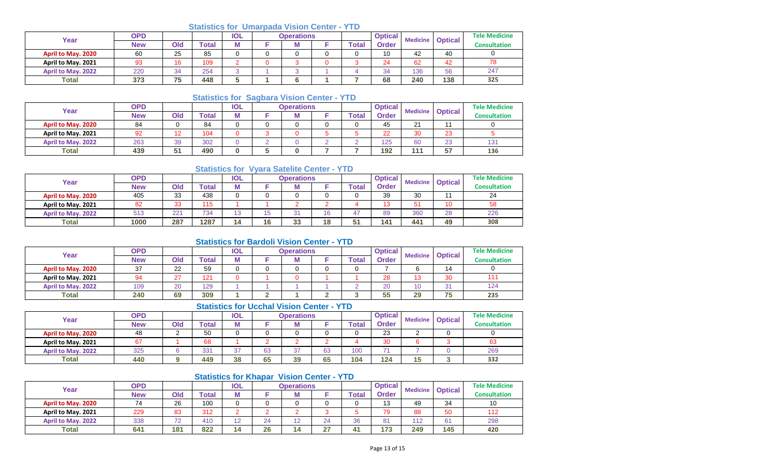### **Statistics for Umarpada Vision Center - YTD**

| Year                      | <b>OPD</b> |           |              | <b>IOL</b> | <b>Operations</b> |  |  |       | <b>Optical</b> | <b>Medicine</b> | <b>Optical</b> | <b>Tele Medicine</b> |
|---------------------------|------------|-----------|--------------|------------|-------------------|--|--|-------|----------------|-----------------|----------------|----------------------|
|                           | <b>New</b> | Old       | <b>Total</b> | RЛ<br>M    |                   |  |  | Total | <b>Order</b>   |                 |                | Consultation         |
| April to May. 2020        | 60         | 25        | 85           | $\sim$     |                   |  |  |       | 10             | 42              | 40             |                      |
| April to May. 2021        | 93         | 16        | 109          | ⌒          |                   |  |  |       | 24             | 62              | 42             | 78                   |
| <b>April to May. 2022</b> | 220        | 34        | 254          | $\sim$     |                   |  |  |       | 34             | 136             | 56             | 247                  |
| <b>Total</b>              | 373        | 75<br>ن - | 448          |            |                   |  |  |       | 68             | 240             | 138            | 325                  |

### **Statistics for Sagbara Vision Center - YTD**

| Year               | OPD |                |       | <b>IOL</b> |   | Operations |              | <b>Optical</b> | <b>Medicine</b> | <b>Optical</b> | <b>Tele Medicine</b> |
|--------------------|-----|----------------|-------|------------|---|------------|--------------|----------------|-----------------|----------------|----------------------|
|                    | New | Old            | `otal | M          |   |            | <b>Total</b> | <b>Order</b>   |                 |                | <b>Consultation</b>  |
| April to May. 2020 | 84  |                | 84    |            |   |            |              | 45             | $\Omega$        |                |                      |
| April to May. 2021 | 92  | $\overline{ }$ | 104   |            |   |            |              | 22             | ററ              | 23             |                      |
| April to May. 2022 | 263 | 39             | 302   |            | - |            |              | 125            | 60              | 23             | 131                  |
| <b>Total</b>       | 439 | 64<br>ັ        | 490   | ი          |   |            |              | 192            | 44.             | 57             | 136                  |

### **Statistics for Vyara Satelite Center - YTD**

| Year                      | OPD        |     |       | <b>IOL</b> |    | <b>Operations</b> |    |           | <b>Optical</b> | <b>Medicine</b> | <b>Optical</b> | <b>Tele Medicine</b> |
|---------------------------|------------|-----|-------|------------|----|-------------------|----|-----------|----------------|-----------------|----------------|----------------------|
|                           | <b>New</b> | Old | ™otal | M          |    |                   |    | Total     | Order          |                 |                | Consultation         |
| April to May. 2020        | 405        | 33  | 438   | ∩          |    |                   |    |           | 39             | 30              |                | 24                   |
| April to May. 2021        | 82         | 33  | 115   |            |    |                   |    |           | 10             | 51              | 10             | 58                   |
| <b>April to May. 2022</b> | 513        | 221 | 734   | 13         |    | $\Omega$<br>ັ     | 16 | 47        | 89             | 360             | 28             | 226                  |
| <b>Total</b>              | 1000       | 287 | 1287  | 14         | 16 | 33                | 18 | 54<br>ັບເ | 141            | 441             | 49             | 308                  |

### **Statistics for Bardoli Vision Center - YTD**

| Year               | <b>OPD</b> |              |       | <b>IOL</b> | <b>Operations</b> |   |  | <b>Optical</b> | <b>Medicine</b> | <b>Optical</b> | <b>Tele Medicine</b> |                     |
|--------------------|------------|--------------|-------|------------|-------------------|---|--|----------------|-----------------|----------------|----------------------|---------------------|
|                    | <b>New</b> | Ola          | ™otal | . .        |                   | M |  | `otal          | <b>Order</b>    |                |                      | <b>Consultation</b> |
| April to May. 2020 | 37         | ററ<br>22     | 59    |            |                   |   |  |                |                 |                | 14                   |                     |
| April to May. 2021 | 94         | $\sim$<br>21 | 12'   |            |                   |   |  |                | 28              | $\overline{a}$ | 30                   |                     |
| April to May. 2022 | 109        | 20           | 129   |            |                   |   |  |                | 20              |                | 31                   | 124                 |
| <b>Total</b>       | 240        | 69           | 309   |            |                   |   |  |                | 55              | 29             | 75                   | 235                 |

### **Statistics for Ucchal Vision Center - YTD**

| Year               | <b>OPD</b> |     |              | <b>IOL</b> | <b>Operations</b> |    |              | <b>Optical</b><br><b>Medicine</b> |              | <b>Optical</b> | <b>Tele Medicine</b> |                     |
|--------------------|------------|-----|--------------|------------|-------------------|----|--------------|-----------------------------------|--------------|----------------|----------------------|---------------------|
|                    | <b>New</b> | Old | <b>Total</b> | M          |                   | M  |              | 'otal                             | <b>Order</b> |                |                      | <b>Consultation</b> |
| April to May. 2020 | 48         | ⌒   | 50           |            |                   |    |              |                                   | 23           |                |                      |                     |
| April to May. 2021 | 67         |     | 68           |            |                   |    | ~            |                                   | 30           |                |                      | 63                  |
| April to May. 2022 | 325        |     | 331          | 27<br>، ب  | 63                | 37 | $\sim$<br>ხპ | 100                               | 74           |                |                      | 269                 |
| Total              | 440        |     | 449          | 38         | 65                | 39 | 65           | 104                               | 124          | 15             |                      | 332                 |

### **Statistics for Khapar Vision Center - YTD**

| Year                      | OPD        |                          |       | <b>IOL</b>   |    | <b>Operations</b> |          | <b>Optical</b> |              | <b>Medicine</b> | <b>Optical</b> | <b>Tele Medicine</b> |
|---------------------------|------------|--------------------------|-------|--------------|----|-------------------|----------|----------------|--------------|-----------------|----------------|----------------------|
|                           | <b>New</b> | Old                      | `otal | M            |    |                   |          | ™otal          | <b>Order</b> |                 |                | <b>Consultation</b>  |
| <b>April to May. 2020</b> | 74         | 26                       | 100   |              |    |                   |          |                | 13           | 49              | 34             | 10                   |
| April to May. 2021        | 229        | 83                       | 312   |              |    |                   |          |                | 79           | 88              | 50             | 112                  |
| <b>April to May. 2022</b> | 338        | $\overline{\phantom{a}}$ | 410   | $\sim$<br>ட∠ | 24 | $\overline{ }$    | 24       | 36             | 81           | 112             | 61             | 298                  |
| <b>Total</b>              | 641        | 181                      | 822   | 14           | 26 |                   | 27<br>41 | 41             | 173          | 249             | 145            | 420                  |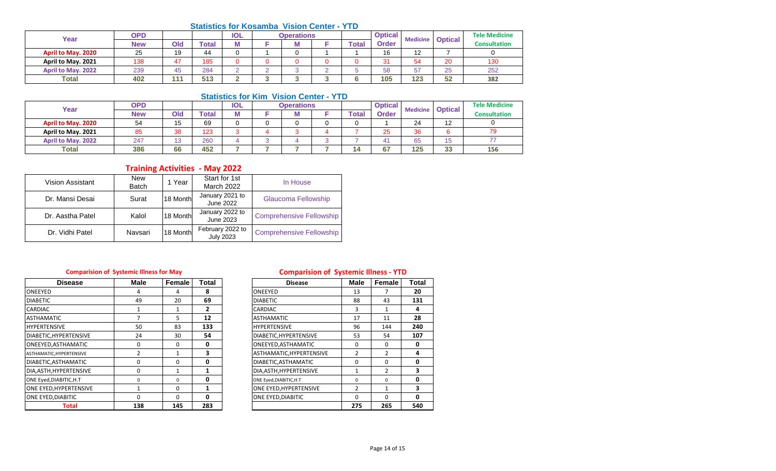#### **Statistics for Kosamba Vision Center - YTD**

| Year               | <b>OPD</b> |                      |       | <b>IOL</b>      | <b>Operations</b> |       | <b>Optical</b><br><b>Medicine</b> |          | <b>Optical</b> | <b>Tele Medicine</b> |
|--------------------|------------|----------------------|-------|-----------------|-------------------|-------|-----------------------------------|----------|----------------|----------------------|
|                    | <b>New</b> | Old                  | ™otal | M               |                   | Total | <b>Order</b>                      |          |                | <b>Consultation</b>  |
| April to May. 2020 | 25         | 19                   | 44    | $\sqrt{2}$<br>ື |                   |       | 16                                | ៱<br>. . |                |                      |
| April to May. 2021 | 138        | $\overline{A}$       | 185   |                 |                   |       | 3 <sup>1</sup>                    | 54       | 20             | 130                  |
| April to May. 2022 | 239        | $\overline{a}$<br>45 | 284   | $\sim$          |                   |       | 58                                | 57       | 25             | 252                  |
| <b>Total</b>       | 402        | 111                  | 513   | c               |                   |       | 105                               | 123      | 52             | 382                  |

#### **Statistics for Kim Vision Center - YTD**

| Year               | <b>OPD</b> |     |       | <b>IOL</b> | <b>Operations</b> |       | <b>Optical</b> | <b>Medicine</b> |                | <b>Tele Medicine</b> |
|--------------------|------------|-----|-------|------------|-------------------|-------|----------------|-----------------|----------------|----------------------|
|                    | <b>New</b> | Old | Total | M          |                   | Total | Order          |                 | <b>Optical</b> | <b>Consultation</b>  |
| April to May. 2020 | 54         | 15  | 69    |            |                   |       |                | 24              | 12             |                      |
| April to May. 2021 | 85         | 38  | 123   |            |                   |       | 25             | 36              |                | 79                   |
| April to May. 2022 | 247        |     | 260   |            |                   |       |                | 65              | 15             |                      |
| <b>Total</b>       | 386        | 66  | 452   |            |                   |       | 67             | 125             | 33             | 156                  |

### **Training Activities - May 2022**

| Vision Assistant | <b>New</b><br><b>Batch</b> | 1 Year   | Start for 1st<br><b>March 2022</b>   | In House                        |
|------------------|----------------------------|----------|--------------------------------------|---------------------------------|
| Dr. Mansi Desai  | Surat                      | 18 Month | January 2021 to<br>June 2022         | Glaucoma Fellowship             |
| Dr. Aastha Patel | Kalol                      | 18 Month | January 2022 to<br>June 2023         | <b>Comprehensive Fellowship</b> |
| Dr. Vidhi Patel  | Navsari                    | 18 Month | February 2022 to<br><b>July 2023</b> | <b>Comprehensive Fellowship</b> |

| <b>Disease</b>           | <b>Male</b>   | Female      | Total        | <b>Disease</b>            | <b>Male</b>    | Female | Tota        |
|--------------------------|---------------|-------------|--------------|---------------------------|----------------|--------|-------------|
| ONEEYED                  |               | 4           | 8            | <b>ONEEYED</b>            | 13             | 7      | 20          |
| <b>DIABETIC</b>          | 49            | 20          | 69           | <b>DIABETIC</b>           | 88             | 43     | 131         |
| <b>CARDIAC</b>           |               |             | 2            | <b>CARDIAC</b>            | 3              |        | 4           |
| <b>ASTHAMATIC</b>        |               | 5.          | 12           | <b>ASTHAMATIC</b>         | 17             | 11     | 28          |
| <b>HYPERTENSIVE</b>      | 50            | 83          | 133          | <b>HYPERTENSIVE</b>       | 96             | 144    | 240         |
| DIABETIC, HYPERTENSIVE   | 24            | 30          | 54           | DIABETIC, HYPERTENSIVE    | 53             | 54     | 107         |
| ONEEYED, ASTHAMATIC      | 0             | $\Omega$    | 0            | ONEEYED, ASTHAMATIC       | $\Omega$       | 0      | $\mathbf 0$ |
| ASTHAMATIC, HYPERTENSIVE | $\mathcal{P}$ |             | 3            | ASTHAMATIC, HYPERTENSIVE  | $\overline{2}$ | 2      | 4           |
| DIABETIC, ASTHAMATIC     | 0             | $\Omega$    | 0            | DIABETIC, ASTHAMATIC      | 0              | 0      | 0           |
| DIA, ASTH, HYPERTENSIVE  | 0             |             | 1            | DIA, ASTH, HYPERTENSIVE   |                | 2      |             |
| ONE Eyed, DIABITIC, H.T  | 0             | $\mathbf 0$ | 0            | ONE Eyed, DIABITIC, H.T   | $\mathbf 0$    | 0      | 0           |
| ONE EYED, HYPERTENSIVE   |               | $\Omega$    | 1            | ONE EYED, HYPERTENSIVE    | $\mathfrak{p}$ |        | 3           |
| ONE EYED, DIABITIC       | 0             | 0           | $\mathbf{0}$ | <b>ONE EYED, DIABITIC</b> | $\Omega$       | 0      | $\mathbf 0$ |
| <b>Total</b>             | 138           | 145         | 283          |                           | 275            | 265    | 540         |

### **Comparision of Systemic Illness for May Comparision of Systemic Illness - YTD**

| <b>Disease</b>      | <b>Male</b> | Female   | <b>Total</b> | <b>Disease</b>            | <b>Male</b>    | Female   | <b>Total</b> |
|---------------------|-------------|----------|--------------|---------------------------|----------------|----------|--------------|
|                     |             | 4        | 8            | ONEEYED                   | 13             |          | 20           |
|                     | 49          | 20       | 69           | <b>DIABETIC</b>           | 88             | 43       | 131          |
|                     |             |          | 2            | <b>CARDIAC</b>            | 3              |          | 4            |
| IC                  |             | 5.       | 12           | <b>ASTHAMATIC</b>         | 17             | 11       | 28           |
| IVE                 | 50          | 83       | 133          | <b>HYPERTENSIVE</b>       | 96             | 144      | 240          |
| YPERTENSIVE         | 24          | 30       | 54           | DIABETIC, HYPERTENSIVE    | 53             | 54       | 107          |
| STHAMATIC           | 0           | $\Omega$ | 0            | ONEEYED, ASTHAMATIC       | 0              | $\Omega$ | 0            |
| <b>IYPERTENSIVE</b> | 2           |          | 3            | ASTHAMATIC, HYPERTENSIVE  | $\overline{2}$ | 2        | Δ            |
| STHAMATIC           | 0           | 0        | 0            | DIABETIC, ASTHAMATIC      | 0              | $\Omega$ | 0            |
| YPERTENSIVE         | 0           |          |              | DIA, ASTH, HYPERTENSIVE   | 1              | 2        | 3            |
| ABITIC,H.T          | $\Omega$    | $\Omega$ | 0            | ONE Eyed, DIABITIC, H.T   | $\Omega$       | $\Omega$ | 0            |
| <b>IYPERTENSIVE</b> |             | $\Omega$ |              | ONE EYED, HYPERTENSIVE    | 2              |          | 3            |
| <b>IABITIC</b>      | 0           | $\Omega$ | 0            | <b>ONE EYED, DIABITIC</b> | $\Omega$       | $\Omega$ | 0            |
| <b>Total</b>        | 138         | 145      | 283          |                           | 275            | 265      | 540          |